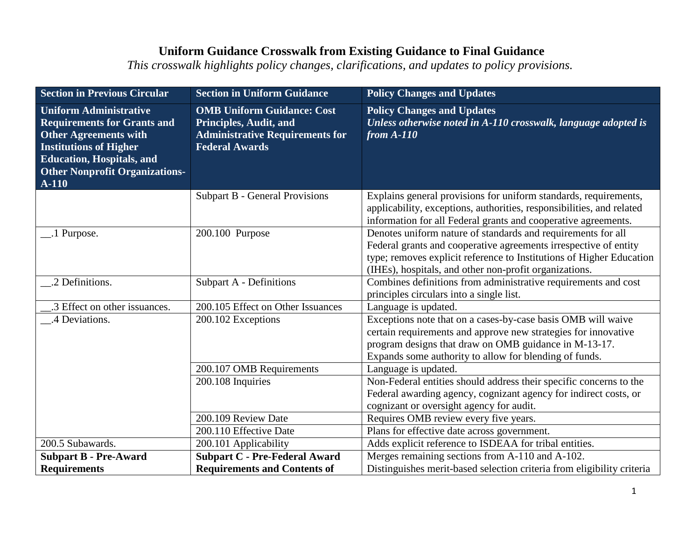| <b>Section in Previous Circular</b>                                                                                                                                                                                          | <b>Section in Uniform Guidance</b>                                                                                                    | <b>Policy Changes and Updates</b>                                                                                                                                                                                                                                  |
|------------------------------------------------------------------------------------------------------------------------------------------------------------------------------------------------------------------------------|---------------------------------------------------------------------------------------------------------------------------------------|--------------------------------------------------------------------------------------------------------------------------------------------------------------------------------------------------------------------------------------------------------------------|
| <b>Uniform Administrative</b><br><b>Requirements for Grants and</b><br><b>Other Agreements with</b><br><b>Institutions of Higher</b><br><b>Education, Hospitals, and</b><br><b>Other Nonprofit Organizations-</b><br>$A-110$ | <b>OMB Uniform Guidance: Cost</b><br><b>Principles, Audit, and</b><br><b>Administrative Requirements for</b><br><b>Federal Awards</b> | <b>Policy Changes and Updates</b><br>Unless otherwise noted in A-110 crosswalk, language adopted is<br>from $A-110$                                                                                                                                                |
|                                                                                                                                                                                                                              | <b>Subpart B - General Provisions</b>                                                                                                 | Explains general provisions for uniform standards, requirements,<br>applicability, exceptions, authorities, responsibilities, and related<br>information for all Federal grants and cooperative agreements.                                                        |
| _1 Purpose.                                                                                                                                                                                                                  | 200.100 Purpose                                                                                                                       | Denotes uniform nature of standards and requirements for all<br>Federal grants and cooperative agreements irrespective of entity<br>type; removes explicit reference to Institutions of Higher Education<br>(IHEs), hospitals, and other non-profit organizations. |
| .2 Definitions.                                                                                                                                                                                                              | <b>Subpart A - Definitions</b>                                                                                                        | Combines definitions from administrative requirements and cost<br>principles circulars into a single list.                                                                                                                                                         |
| .3 Effect on other issuances.                                                                                                                                                                                                | 200.105 Effect on Other Issuances                                                                                                     | Language is updated.                                                                                                                                                                                                                                               |
| .4 Deviations.                                                                                                                                                                                                               | 200.102 Exceptions                                                                                                                    | Exceptions note that on a cases-by-case basis OMB will waive<br>certain requirements and approve new strategies for innovative<br>program designs that draw on OMB guidance in M-13-17.<br>Expands some authority to allow for blending of funds.                  |
|                                                                                                                                                                                                                              | 200.107 OMB Requirements                                                                                                              | Language is updated.                                                                                                                                                                                                                                               |
|                                                                                                                                                                                                                              | 200.108 Inquiries                                                                                                                     | Non-Federal entities should address their specific concerns to the<br>Federal awarding agency, cognizant agency for indirect costs, or<br>cognizant or oversight agency for audit.                                                                                 |
|                                                                                                                                                                                                                              | 200.109 Review Date                                                                                                                   | Requires OMB review every five years.                                                                                                                                                                                                                              |
|                                                                                                                                                                                                                              | 200.110 Effective Date                                                                                                                | Plans for effective date across government.                                                                                                                                                                                                                        |
| 200.5 Subawards.                                                                                                                                                                                                             | 200.101 Applicability                                                                                                                 | Adds explicit reference to ISDEAA for tribal entities.                                                                                                                                                                                                             |
| <b>Subpart B - Pre-Award</b>                                                                                                                                                                                                 | <b>Subpart C - Pre-Federal Award</b>                                                                                                  | Merges remaining sections from A-110 and A-102.                                                                                                                                                                                                                    |
| <b>Requirements</b>                                                                                                                                                                                                          | <b>Requirements and Contents of</b>                                                                                                   | Distinguishes merit-based selection criteria from eligibility criteria                                                                                                                                                                                             |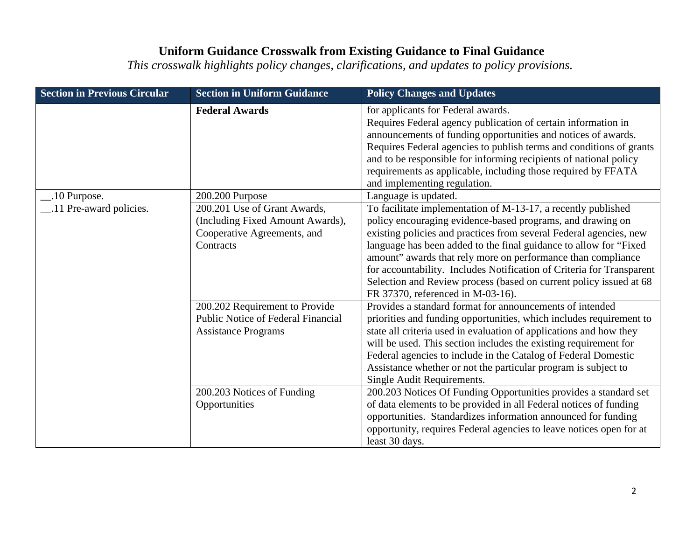| <b>Section in Previous Circular</b> | <b>Section in Uniform Guidance</b>                                                                           | <b>Policy Changes and Updates</b>                                                                                                                                                                                                                                                                                                                                                                                                                                                                                           |
|-------------------------------------|--------------------------------------------------------------------------------------------------------------|-----------------------------------------------------------------------------------------------------------------------------------------------------------------------------------------------------------------------------------------------------------------------------------------------------------------------------------------------------------------------------------------------------------------------------------------------------------------------------------------------------------------------------|
|                                     | <b>Federal Awards</b>                                                                                        | for applicants for Federal awards.<br>Requires Federal agency publication of certain information in<br>announcements of funding opportunities and notices of awards.<br>Requires Federal agencies to publish terms and conditions of grants<br>and to be responsible for informing recipients of national policy<br>requirements as applicable, including those required by FFATA<br>and implementing regulation.                                                                                                           |
| .10 Purpose.                        | 200.200 Purpose                                                                                              | Language is updated.                                                                                                                                                                                                                                                                                                                                                                                                                                                                                                        |
| .11 Pre-award policies.             | 200.201 Use of Grant Awards,<br>(Including Fixed Amount Awards),<br>Cooperative Agreements, and<br>Contracts | To facilitate implementation of M-13-17, a recently published<br>policy encouraging evidence-based programs, and drawing on<br>existing policies and practices from several Federal agencies, new<br>language has been added to the final guidance to allow for "Fixed"<br>amount" awards that rely more on performance than compliance<br>for accountability. Includes Notification of Criteria for Transparent<br>Selection and Review process (based on current policy issued at 68<br>FR 37370, referenced in M-03-16). |
|                                     | 200.202 Requirement to Provide<br><b>Public Notice of Federal Financial</b><br><b>Assistance Programs</b>    | Provides a standard format for announcements of intended<br>priorities and funding opportunities, which includes requirement to<br>state all criteria used in evaluation of applications and how they<br>will be used. This section includes the existing requirement for<br>Federal agencies to include in the Catalog of Federal Domestic<br>Assistance whether or not the particular program is subject to<br>Single Audit Requirements.                                                                                 |
|                                     | 200.203 Notices of Funding<br>Opportunities                                                                  | 200.203 Notices Of Funding Opportunities provides a standard set<br>of data elements to be provided in all Federal notices of funding<br>opportunities. Standardizes information announced for funding<br>opportunity, requires Federal agencies to leave notices open for at<br>least 30 days.                                                                                                                                                                                                                             |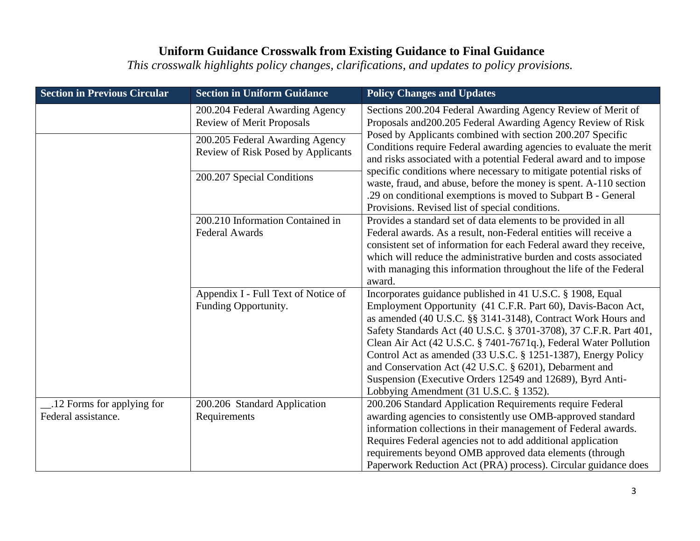| <b>Section in Previous Circular</b>              | <b>Section in Uniform Guidance</b>                                    | <b>Policy Changes and Updates</b>                                                                                                                                                                                                                                                                                                                                                                                                                                                                                                                                     |
|--------------------------------------------------|-----------------------------------------------------------------------|-----------------------------------------------------------------------------------------------------------------------------------------------------------------------------------------------------------------------------------------------------------------------------------------------------------------------------------------------------------------------------------------------------------------------------------------------------------------------------------------------------------------------------------------------------------------------|
|                                                  | 200.204 Federal Awarding Agency<br><b>Review of Merit Proposals</b>   | Sections 200.204 Federal Awarding Agency Review of Merit of<br>Proposals and 200.205 Federal Awarding Agency Review of Risk                                                                                                                                                                                                                                                                                                                                                                                                                                           |
|                                                  | 200.205 Federal Awarding Agency<br>Review of Risk Posed by Applicants | Posed by Applicants combined with section 200.207 Specific<br>Conditions require Federal awarding agencies to evaluate the merit<br>and risks associated with a potential Federal award and to impose                                                                                                                                                                                                                                                                                                                                                                 |
|                                                  | 200.207 Special Conditions                                            | specific conditions where necessary to mitigate potential risks of<br>waste, fraud, and abuse, before the money is spent. A-110 section<br>.29 on conditional exemptions is moved to Subpart B - General<br>Provisions. Revised list of special conditions.                                                                                                                                                                                                                                                                                                           |
|                                                  | 200.210 Information Contained in<br><b>Federal Awards</b>             | Provides a standard set of data elements to be provided in all<br>Federal awards. As a result, non-Federal entities will receive a<br>consistent set of information for each Federal award they receive,<br>which will reduce the administrative burden and costs associated<br>with managing this information throughout the life of the Federal<br>award.                                                                                                                                                                                                           |
|                                                  | Appendix I - Full Text of Notice of<br>Funding Opportunity.           | Incorporates guidance published in 41 U.S.C. § 1908, Equal<br>Employment Opportunity (41 C.F.R. Part 60), Davis-Bacon Act,<br>as amended (40 U.S.C. §§ 3141-3148), Contract Work Hours and<br>Safety Standards Act (40 U.S.C. § 3701-3708), 37 C.F.R. Part 401,<br>Clean Air Act (42 U.S.C. § 7401-7671q.), Federal Water Pollution<br>Control Act as amended (33 U.S.C. § 1251-1387), Energy Policy<br>and Conservation Act (42 U.S.C. § 6201), Debarment and<br>Suspension (Executive Orders 12549 and 12689), Byrd Anti-<br>Lobbying Amendment (31 U.S.C. § 1352). |
| 12 Forms for applying for<br>Federal assistance. | 200.206 Standard Application<br>Requirements                          | 200.206 Standard Application Requirements require Federal<br>awarding agencies to consistently use OMB-approved standard<br>information collections in their management of Federal awards.<br>Requires Federal agencies not to add additional application<br>requirements beyond OMB approved data elements (through<br>Paperwork Reduction Act (PRA) process). Circular guidance does                                                                                                                                                                                |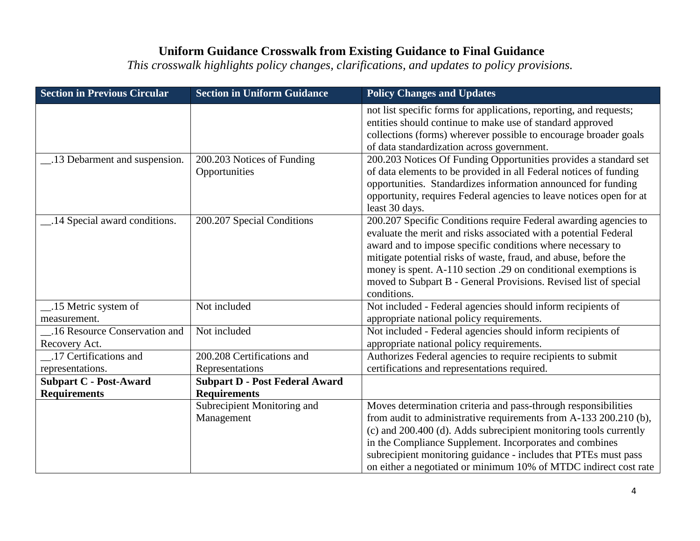| <b>Section in Previous Circular</b>                  | <b>Section in Uniform Guidance</b>                           | <b>Policy Changes and Updates</b>                                                                                                                                                                                                                                                                                                                                                                                          |
|------------------------------------------------------|--------------------------------------------------------------|----------------------------------------------------------------------------------------------------------------------------------------------------------------------------------------------------------------------------------------------------------------------------------------------------------------------------------------------------------------------------------------------------------------------------|
|                                                      |                                                              | not list specific forms for applications, reporting, and requests;<br>entities should continue to make use of standard approved<br>collections (forms) wherever possible to encourage broader goals<br>of data standardization across government.                                                                                                                                                                          |
| 13 Debarment and suspension.                         | 200.203 Notices of Funding<br>Opportunities                  | 200.203 Notices Of Funding Opportunities provides a standard set<br>of data elements to be provided in all Federal notices of funding<br>opportunities. Standardizes information announced for funding<br>opportunity, requires Federal agencies to leave notices open for at<br>least 30 days.                                                                                                                            |
| 14 Special award conditions.                         | 200.207 Special Conditions                                   | 200.207 Specific Conditions require Federal awarding agencies to<br>evaluate the merit and risks associated with a potential Federal<br>award and to impose specific conditions where necessary to<br>mitigate potential risks of waste, fraud, and abuse, before the<br>money is spent. A-110 section .29 on conditional exemptions is<br>moved to Subpart B - General Provisions. Revised list of special<br>conditions. |
| 15 Metric system of<br>measurement.                  | Not included                                                 | Not included - Federal agencies should inform recipients of<br>appropriate national policy requirements.                                                                                                                                                                                                                                                                                                                   |
| _.16 Resource Conservation and<br>Recovery Act.      | Not included                                                 | Not included - Federal agencies should inform recipients of<br>appropriate national policy requirements.                                                                                                                                                                                                                                                                                                                   |
| .17 Certifications and<br>representations.           | 200.208 Certifications and<br>Representations                | Authorizes Federal agencies to require recipients to submit<br>certifications and representations required.                                                                                                                                                                                                                                                                                                                |
| <b>Subpart C - Post-Award</b><br><b>Requirements</b> | <b>Subpart D - Post Federal Award</b><br><b>Requirements</b> |                                                                                                                                                                                                                                                                                                                                                                                                                            |
|                                                      | Subrecipient Monitoring and<br>Management                    | Moves determination criteria and pass-through responsibilities<br>from audit to administrative requirements from A-133 200.210 (b),<br>(c) and 200.400 (d). Adds subrecipient monitoring tools currently<br>in the Compliance Supplement. Incorporates and combines<br>subrecipient monitoring guidance - includes that PTEs must pass<br>on either a negotiated or minimum 10% of MTDC indirect cost rate                 |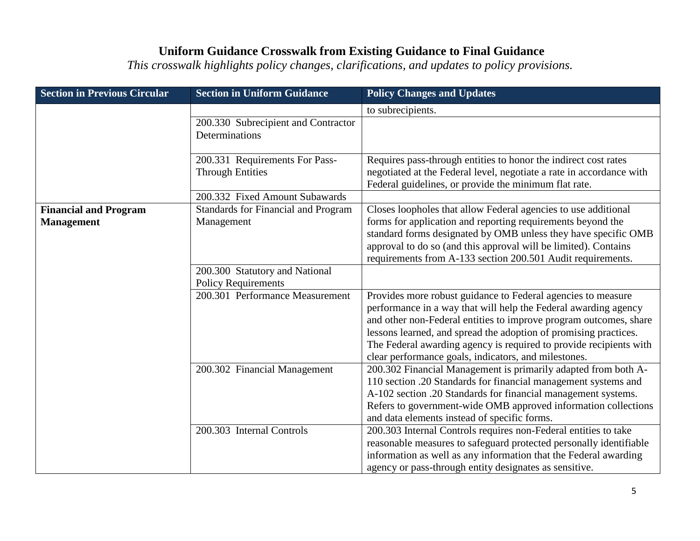| <b>Section in Previous Circular</b> | <b>Section in Uniform Guidance</b>  | <b>Policy Changes and Updates</b>                                    |
|-------------------------------------|-------------------------------------|----------------------------------------------------------------------|
|                                     |                                     | to subrecipients.                                                    |
|                                     | 200.330 Subrecipient and Contractor |                                                                      |
|                                     | Determinations                      |                                                                      |
|                                     |                                     |                                                                      |
|                                     | 200.331 Requirements For Pass-      | Requires pass-through entities to honor the indirect cost rates      |
|                                     | <b>Through Entities</b>             | negotiated at the Federal level, negotiate a rate in accordance with |
|                                     |                                     | Federal guidelines, or provide the minimum flat rate.                |
|                                     | 200.332 Fixed Amount Subawards      |                                                                      |
| <b>Financial and Program</b>        | Standards for Financial and Program | Closes loopholes that allow Federal agencies to use additional       |
| <b>Management</b>                   | Management                          | forms for application and reporting requirements beyond the          |
|                                     |                                     | standard forms designated by OMB unless they have specific OMB       |
|                                     |                                     | approval to do so (and this approval will be limited). Contains      |
|                                     |                                     | requirements from A-133 section 200.501 Audit requirements.          |
|                                     | 200.300 Statutory and National      |                                                                      |
|                                     | <b>Policy Requirements</b>          |                                                                      |
|                                     | 200.301 Performance Measurement     | Provides more robust guidance to Federal agencies to measure         |
|                                     |                                     | performance in a way that will help the Federal awarding agency      |
|                                     |                                     | and other non-Federal entities to improve program outcomes, share    |
|                                     |                                     | lessons learned, and spread the adoption of promising practices.     |
|                                     |                                     | The Federal awarding agency is required to provide recipients with   |
|                                     |                                     | clear performance goals, indicators, and milestones.                 |
|                                     | 200.302 Financial Management        | 200.302 Financial Management is primarily adapted from both A-       |
|                                     |                                     | 110 section .20 Standards for financial management systems and       |
|                                     |                                     | A-102 section .20 Standards for financial management systems.        |
|                                     |                                     | Refers to government-wide OMB approved information collections       |
|                                     |                                     | and data elements instead of specific forms.                         |
|                                     | 200.303 Internal Controls           | 200.303 Internal Controls requires non-Federal entities to take      |
|                                     |                                     | reasonable measures to safeguard protected personally identifiable   |
|                                     |                                     | information as well as any information that the Federal awarding     |
|                                     |                                     | agency or pass-through entity designates as sensitive.               |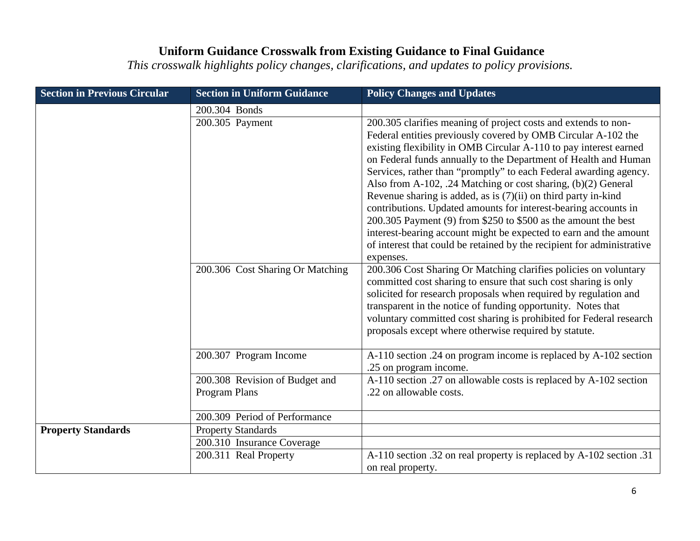| <b>Section in Previous Circular</b> | <b>Section in Uniform Guidance</b>              | <b>Policy Changes and Updates</b>                                                                                                                                                                                                                                                                                                                                                                                                                                                                                                                                                                                                                                                                                                                                                  |
|-------------------------------------|-------------------------------------------------|------------------------------------------------------------------------------------------------------------------------------------------------------------------------------------------------------------------------------------------------------------------------------------------------------------------------------------------------------------------------------------------------------------------------------------------------------------------------------------------------------------------------------------------------------------------------------------------------------------------------------------------------------------------------------------------------------------------------------------------------------------------------------------|
|                                     | 200.304 Bonds                                   |                                                                                                                                                                                                                                                                                                                                                                                                                                                                                                                                                                                                                                                                                                                                                                                    |
|                                     | 200.305 Payment                                 | 200.305 clarifies meaning of project costs and extends to non-<br>Federal entities previously covered by OMB Circular A-102 the<br>existing flexibility in OMB Circular A-110 to pay interest earned<br>on Federal funds annually to the Department of Health and Human<br>Services, rather than "promptly" to each Federal awarding agency.<br>Also from A-102, .24 Matching or cost sharing, (b)(2) General<br>Revenue sharing is added, as is $(7)(ii)$ on third party in-kind<br>contributions. Updated amounts for interest-bearing accounts in<br>200.305 Payment (9) from \$250 to \$500 as the amount the best<br>interest-bearing account might be expected to earn and the amount<br>of interest that could be retained by the recipient for administrative<br>expenses. |
|                                     | 200.306 Cost Sharing Or Matching                | 200.306 Cost Sharing Or Matching clarifies policies on voluntary<br>committed cost sharing to ensure that such cost sharing is only<br>solicited for research proposals when required by regulation and<br>transparent in the notice of funding opportunity. Notes that<br>voluntary committed cost sharing is prohibited for Federal research<br>proposals except where otherwise required by statute.                                                                                                                                                                                                                                                                                                                                                                            |
|                                     | 200.307 Program Income                          | A-110 section .24 on program income is replaced by A-102 section<br>.25 on program income.                                                                                                                                                                                                                                                                                                                                                                                                                                                                                                                                                                                                                                                                                         |
|                                     | 200.308 Revision of Budget and<br>Program Plans | A-110 section .27 on allowable costs is replaced by A-102 section<br>.22 on allowable costs.                                                                                                                                                                                                                                                                                                                                                                                                                                                                                                                                                                                                                                                                                       |
|                                     | 200.309 Period of Performance                   |                                                                                                                                                                                                                                                                                                                                                                                                                                                                                                                                                                                                                                                                                                                                                                                    |
| <b>Property Standards</b>           | <b>Property Standards</b>                       |                                                                                                                                                                                                                                                                                                                                                                                                                                                                                                                                                                                                                                                                                                                                                                                    |
|                                     | 200.310 Insurance Coverage                      |                                                                                                                                                                                                                                                                                                                                                                                                                                                                                                                                                                                                                                                                                                                                                                                    |
|                                     | 200.311 Real Property                           | A-110 section .32 on real property is replaced by A-102 section .31<br>on real property.                                                                                                                                                                                                                                                                                                                                                                                                                                                                                                                                                                                                                                                                                           |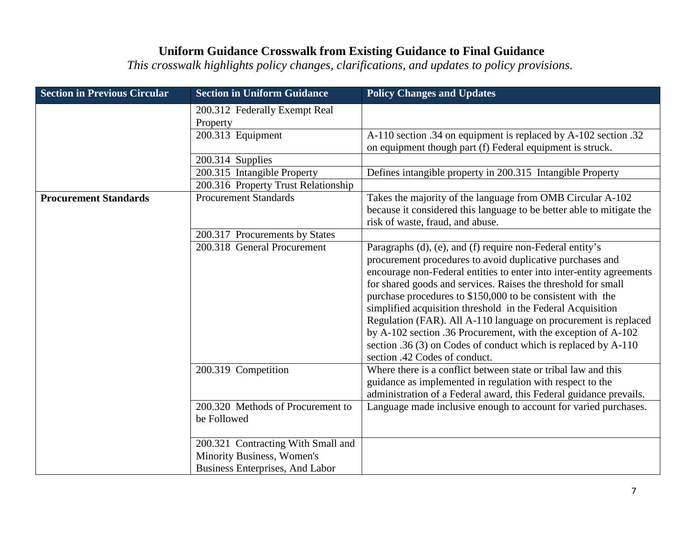| <b>Section in Previous Circular</b> | <b>Section in Uniform Guidance</b>                                                                         | <b>Policy Changes and Updates</b>                                                                                                                                                                                                                                                                                                                                                                                                                                                                                                                                                                                                   |
|-------------------------------------|------------------------------------------------------------------------------------------------------------|-------------------------------------------------------------------------------------------------------------------------------------------------------------------------------------------------------------------------------------------------------------------------------------------------------------------------------------------------------------------------------------------------------------------------------------------------------------------------------------------------------------------------------------------------------------------------------------------------------------------------------------|
|                                     | 200.312 Federally Exempt Real<br>Property                                                                  |                                                                                                                                                                                                                                                                                                                                                                                                                                                                                                                                                                                                                                     |
|                                     | 200.313 Equipment                                                                                          | A-110 section .34 on equipment is replaced by A-102 section .32<br>on equipment though part (f) Federal equipment is struck.                                                                                                                                                                                                                                                                                                                                                                                                                                                                                                        |
|                                     | 200.314 Supplies                                                                                           |                                                                                                                                                                                                                                                                                                                                                                                                                                                                                                                                                                                                                                     |
|                                     | 200.315 Intangible Property                                                                                | Defines intangible property in 200.315 Intangible Property                                                                                                                                                                                                                                                                                                                                                                                                                                                                                                                                                                          |
|                                     | 200.316 Property Trust Relationship                                                                        |                                                                                                                                                                                                                                                                                                                                                                                                                                                                                                                                                                                                                                     |
| <b>Procurement Standards</b>        | <b>Procurement Standards</b>                                                                               | Takes the majority of the language from OMB Circular A-102<br>because it considered this language to be better able to mitigate the<br>risk of waste, fraud, and abuse.                                                                                                                                                                                                                                                                                                                                                                                                                                                             |
|                                     | 200.317 Procurements by States                                                                             |                                                                                                                                                                                                                                                                                                                                                                                                                                                                                                                                                                                                                                     |
|                                     | 200.318 General Procurement                                                                                | Paragraphs (d), (e), and (f) require non-Federal entity's<br>procurement procedures to avoid duplicative purchases and<br>encourage non-Federal entities to enter into inter-entity agreements<br>for shared goods and services. Raises the threshold for small<br>purchase procedures to \$150,000 to be consistent with the<br>simplified acquisition threshold in the Federal Acquisition<br>Regulation (FAR). All A-110 language on procurement is replaced<br>by A-102 section .36 Procurement, with the exception of A-102<br>section .36 (3) on Codes of conduct which is replaced by A-110<br>section .42 Codes of conduct. |
|                                     | 200.319 Competition                                                                                        | Where there is a conflict between state or tribal law and this<br>guidance as implemented in regulation with respect to the<br>administration of a Federal award, this Federal guidance prevails.                                                                                                                                                                                                                                                                                                                                                                                                                                   |
|                                     | 200.320 Methods of Procurement to<br>be Followed                                                           | Language made inclusive enough to account for varied purchases.                                                                                                                                                                                                                                                                                                                                                                                                                                                                                                                                                                     |
|                                     | 200.321 Contracting With Small and<br><b>Minority Business, Women's</b><br>Business Enterprises, And Labor |                                                                                                                                                                                                                                                                                                                                                                                                                                                                                                                                                                                                                                     |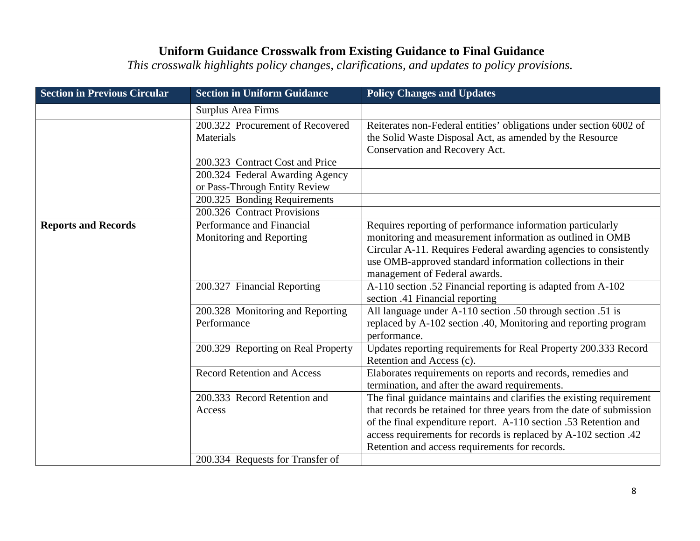| <b>Section in Previous Circular</b> | <b>Section in Uniform Guidance</b>                               | <b>Policy Changes and Updates</b>                                                                                                                                                                                                                                                           |
|-------------------------------------|------------------------------------------------------------------|---------------------------------------------------------------------------------------------------------------------------------------------------------------------------------------------------------------------------------------------------------------------------------------------|
|                                     | Surplus Area Firms                                               |                                                                                                                                                                                                                                                                                             |
|                                     | 200.322 Procurement of Recovered<br>Materials                    | Reiterates non-Federal entities' obligations under section 6002 of<br>the Solid Waste Disposal Act, as amended by the Resource<br>Conservation and Recovery Act.                                                                                                                            |
|                                     | 200.323 Contract Cost and Price                                  |                                                                                                                                                                                                                                                                                             |
|                                     | 200.324 Federal Awarding Agency<br>or Pass-Through Entity Review |                                                                                                                                                                                                                                                                                             |
|                                     | 200.325 Bonding Requirements                                     |                                                                                                                                                                                                                                                                                             |
|                                     | 200.326 Contract Provisions                                      |                                                                                                                                                                                                                                                                                             |
| <b>Reports and Records</b>          | Performance and Financial<br>Monitoring and Reporting            | Requires reporting of performance information particularly<br>monitoring and measurement information as outlined in OMB<br>Circular A-11. Requires Federal awarding agencies to consistently<br>use OMB-approved standard information collections in their<br>management of Federal awards. |
|                                     | 200.327 Financial Reporting                                      | A-110 section .52 Financial reporting is adapted from A-102<br>section .41 Financial reporting                                                                                                                                                                                              |
|                                     | 200.328 Monitoring and Reporting<br>Performance                  | All language under A-110 section .50 through section .51 is<br>replaced by A-102 section .40, Monitoring and reporting program<br>performance.                                                                                                                                              |
|                                     | 200.329 Reporting on Real Property                               | Updates reporting requirements for Real Property 200.333 Record<br>Retention and Access (c).                                                                                                                                                                                                |
|                                     | <b>Record Retention and Access</b>                               | Elaborates requirements on reports and records, remedies and<br>termination, and after the award requirements.                                                                                                                                                                              |
|                                     | 200.333 Record Retention and<br>Access                           | The final guidance maintains and clarifies the existing requirement<br>that records be retained for three years from the date of submission<br>of the final expenditure report. A-110 section .53 Retention and<br>access requirements for records is replaced by A-102 section .42         |
|                                     |                                                                  | Retention and access requirements for records.                                                                                                                                                                                                                                              |
|                                     | 200.334 Requests for Transfer of                                 |                                                                                                                                                                                                                                                                                             |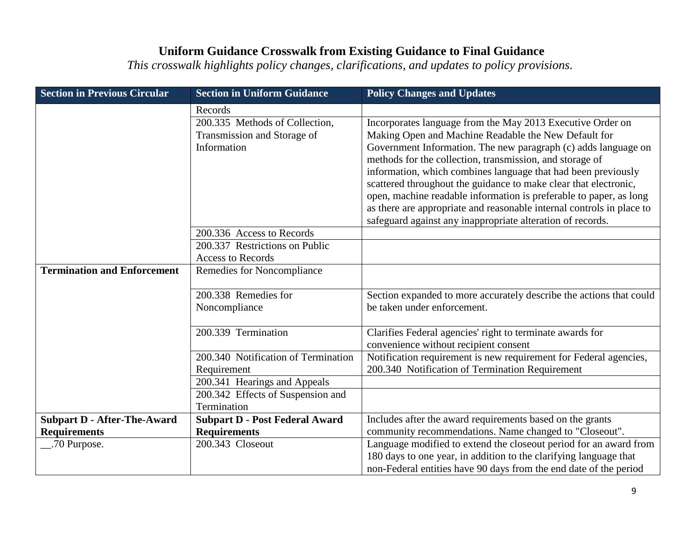| <b>Section in Uniform Guidance</b> | <b>Policy Changes and Updates</b>                                                                                                                                                                                                                                                                                                                          |
|------------------------------------|------------------------------------------------------------------------------------------------------------------------------------------------------------------------------------------------------------------------------------------------------------------------------------------------------------------------------------------------------------|
| Records                            |                                                                                                                                                                                                                                                                                                                                                            |
| 200.335 Methods of Collection,     | Incorporates language from the May 2013 Executive Order on                                                                                                                                                                                                                                                                                                 |
| Transmission and Storage of        | Making Open and Machine Readable the New Default for                                                                                                                                                                                                                                                                                                       |
| Information                        | Government Information. The new paragraph (c) adds language on                                                                                                                                                                                                                                                                                             |
|                                    | methods for the collection, transmission, and storage of                                                                                                                                                                                                                                                                                                   |
|                                    | information, which combines language that had been previously                                                                                                                                                                                                                                                                                              |
|                                    | scattered throughout the guidance to make clear that electronic,                                                                                                                                                                                                                                                                                           |
|                                    | open, machine readable information is preferable to paper, as long                                                                                                                                                                                                                                                                                         |
|                                    | as there are appropriate and reasonable internal controls in place to                                                                                                                                                                                                                                                                                      |
|                                    | safeguard against any inappropriate alteration of records.                                                                                                                                                                                                                                                                                                 |
|                                    |                                                                                                                                                                                                                                                                                                                                                            |
|                                    |                                                                                                                                                                                                                                                                                                                                                            |
|                                    |                                                                                                                                                                                                                                                                                                                                                            |
|                                    |                                                                                                                                                                                                                                                                                                                                                            |
| 200.338 Remedies for               | Section expanded to more accurately describe the actions that could                                                                                                                                                                                                                                                                                        |
| Noncompliance                      | be taken under enforcement.                                                                                                                                                                                                                                                                                                                                |
|                                    |                                                                                                                                                                                                                                                                                                                                                            |
| 200.339 Termination                | Clarifies Federal agencies' right to terminate awards for                                                                                                                                                                                                                                                                                                  |
|                                    | convenience without recipient consent                                                                                                                                                                                                                                                                                                                      |
|                                    | Notification requirement is new requirement for Federal agencies,                                                                                                                                                                                                                                                                                          |
|                                    | 200.340 Notification of Termination Requirement                                                                                                                                                                                                                                                                                                            |
|                                    |                                                                                                                                                                                                                                                                                                                                                            |
|                                    |                                                                                                                                                                                                                                                                                                                                                            |
|                                    |                                                                                                                                                                                                                                                                                                                                                            |
|                                    | Includes after the award requirements based on the grants                                                                                                                                                                                                                                                                                                  |
|                                    | community recommendations. Name changed to "Closeout".                                                                                                                                                                                                                                                                                                     |
|                                    | Language modified to extend the closeout period for an award from<br>180 days to one year, in addition to the clarifying language that                                                                                                                                                                                                                     |
|                                    | non-Federal entities have 90 days from the end date of the period                                                                                                                                                                                                                                                                                          |
|                                    | 200.336 Access to Records<br>200.337 Restrictions on Public<br><b>Access to Records</b><br><b>Remedies for Noncompliance</b><br>200.340 Notification of Termination<br>Requirement<br>200.341 Hearings and Appeals<br>200.342 Effects of Suspension and<br>Termination<br><b>Subpart D - Post Federal Award</b><br><b>Requirements</b><br>200.343 Closeout |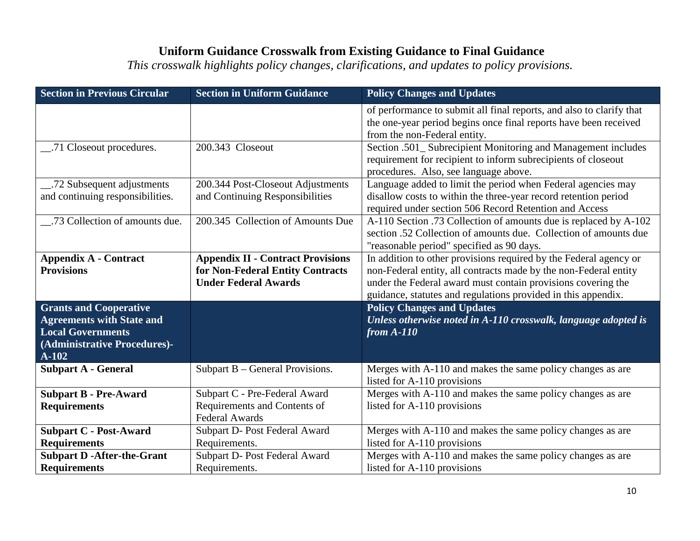| <b>Section in Previous Circular</b>                                                                                                      | <b>Section in Uniform Guidance</b>                                                                          | <b>Policy Changes and Updates</b>                                                                                                                                                                                                                                      |
|------------------------------------------------------------------------------------------------------------------------------------------|-------------------------------------------------------------------------------------------------------------|------------------------------------------------------------------------------------------------------------------------------------------------------------------------------------------------------------------------------------------------------------------------|
|                                                                                                                                          |                                                                                                             | of performance to submit all final reports, and also to clarify that<br>the one-year period begins once final reports have been received<br>from the non-Federal entity.                                                                                               |
| 71 Closeout procedures.                                                                                                                  | 200.343 Closeout                                                                                            | Section .501_ Subrecipient Monitoring and Management includes<br>requirement for recipient to inform subrecipients of closeout<br>procedures. Also, see language above.                                                                                                |
| and continuing responsibilities.                                                                                                         | 200.344 Post-Closeout Adjustments<br>and Continuing Responsibilities                                        | Language added to limit the period when Federal agencies may<br>disallow costs to within the three-year record retention period<br>required under section 506 Record Retention and Access                                                                              |
| .73 Collection of amounts due.                                                                                                           | 200.345 Collection of Amounts Due                                                                           | A-110 Section .73 Collection of amounts due is replaced by A-102<br>section .52 Collection of amounts due. Collection of amounts due<br>"reasonable period" specified as 90 days.                                                                                      |
| <b>Appendix A - Contract</b><br><b>Provisions</b>                                                                                        | <b>Appendix II - Contract Provisions</b><br>for Non-Federal Entity Contracts<br><b>Under Federal Awards</b> | In addition to other provisions required by the Federal agency or<br>non-Federal entity, all contracts made by the non-Federal entity<br>under the Federal award must contain provisions covering the<br>guidance, statutes and regulations provided in this appendix. |
| <b>Grants and Cooperative</b><br><b>Agreements with State and</b><br><b>Local Governments</b><br>(Administrative Procedures)-<br>$A-102$ |                                                                                                             | <b>Policy Changes and Updates</b><br>Unless otherwise noted in A-110 crosswalk, language adopted is<br>from $A-110$                                                                                                                                                    |
| <b>Subpart A - General</b>                                                                                                               | Subpart B – General Provisions.                                                                             | Merges with A-110 and makes the same policy changes as are<br>listed for A-110 provisions                                                                                                                                                                              |
| <b>Subpart B - Pre-Award</b><br><b>Requirements</b>                                                                                      | Subpart C - Pre-Federal Award<br>Requirements and Contents of<br><b>Federal Awards</b>                      | Merges with A-110 and makes the same policy changes as are<br>listed for A-110 provisions                                                                                                                                                                              |
| <b>Subpart C - Post-Award</b><br><b>Requirements</b>                                                                                     | Subpart D- Post Federal Award<br>Requirements.                                                              | Merges with A-110 and makes the same policy changes as are<br>listed for A-110 provisions                                                                                                                                                                              |
| <b>Subpart D -After-the-Grant</b><br><b>Requirements</b>                                                                                 | Subpart D- Post Federal Award<br>Requirements.                                                              | Merges with A-110 and makes the same policy changes as are<br>listed for A-110 provisions                                                                                                                                                                              |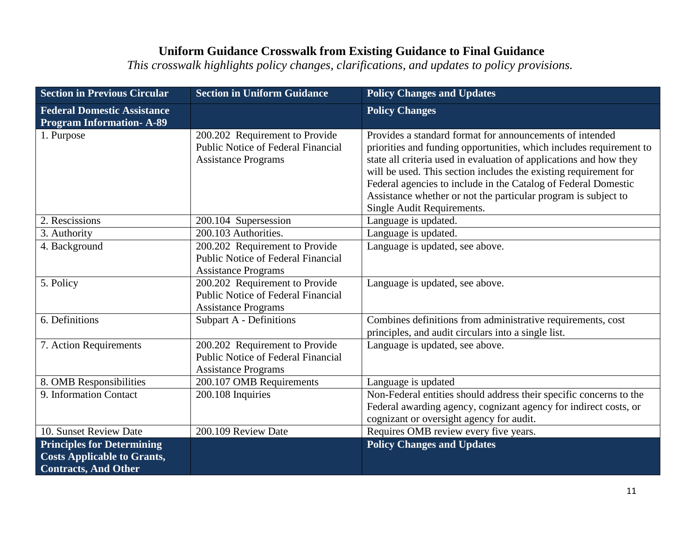| <b>Section in Previous Circular</b>                                                                    | <b>Section in Uniform Guidance</b>                                                                        | <b>Policy Changes and Updates</b>                                                                                                                                                                                                                                                                                                                                                                                                           |
|--------------------------------------------------------------------------------------------------------|-----------------------------------------------------------------------------------------------------------|---------------------------------------------------------------------------------------------------------------------------------------------------------------------------------------------------------------------------------------------------------------------------------------------------------------------------------------------------------------------------------------------------------------------------------------------|
| <b>Federal Domestic Assistance</b><br><b>Program Information- A-89</b>                                 |                                                                                                           | <b>Policy Changes</b>                                                                                                                                                                                                                                                                                                                                                                                                                       |
| 1. Purpose                                                                                             | 200.202 Requirement to Provide<br><b>Public Notice of Federal Financial</b><br><b>Assistance Programs</b> | Provides a standard format for announcements of intended<br>priorities and funding opportunities, which includes requirement to<br>state all criteria used in evaluation of applications and how they<br>will be used. This section includes the existing requirement for<br>Federal agencies to include in the Catalog of Federal Domestic<br>Assistance whether or not the particular program is subject to<br>Single Audit Requirements. |
| 2. Rescissions                                                                                         | 200.104 Supersession                                                                                      | Language is updated.                                                                                                                                                                                                                                                                                                                                                                                                                        |
| 3. Authority                                                                                           | 200.103 Authorities.                                                                                      | Language is updated.                                                                                                                                                                                                                                                                                                                                                                                                                        |
| 4. Background                                                                                          | 200.202 Requirement to Provide<br><b>Public Notice of Federal Financial</b><br><b>Assistance Programs</b> | Language is updated, see above.                                                                                                                                                                                                                                                                                                                                                                                                             |
| 5. Policy                                                                                              | 200.202 Requirement to Provide<br>Public Notice of Federal Financial<br><b>Assistance Programs</b>        | Language is updated, see above.                                                                                                                                                                                                                                                                                                                                                                                                             |
| 6. Definitions                                                                                         | <b>Subpart A - Definitions</b>                                                                            | Combines definitions from administrative requirements, cost<br>principles, and audit circulars into a single list.                                                                                                                                                                                                                                                                                                                          |
| 7. Action Requirements                                                                                 | 200.202 Requirement to Provide<br><b>Public Notice of Federal Financial</b><br><b>Assistance Programs</b> | Language is updated, see above.                                                                                                                                                                                                                                                                                                                                                                                                             |
| 8. OMB Responsibilities                                                                                | 200.107 OMB Requirements                                                                                  | Language is updated                                                                                                                                                                                                                                                                                                                                                                                                                         |
| 9. Information Contact                                                                                 | 200.108 Inquiries                                                                                         | Non-Federal entities should address their specific concerns to the<br>Federal awarding agency, cognizant agency for indirect costs, or<br>cognizant or oversight agency for audit.                                                                                                                                                                                                                                                          |
| 10. Sunset Review Date                                                                                 | 200.109 Review Date                                                                                       | Requires OMB review every five years.                                                                                                                                                                                                                                                                                                                                                                                                       |
| <b>Principles for Determining</b><br><b>Costs Applicable to Grants,</b><br><b>Contracts, And Other</b> |                                                                                                           | <b>Policy Changes and Updates</b>                                                                                                                                                                                                                                                                                                                                                                                                           |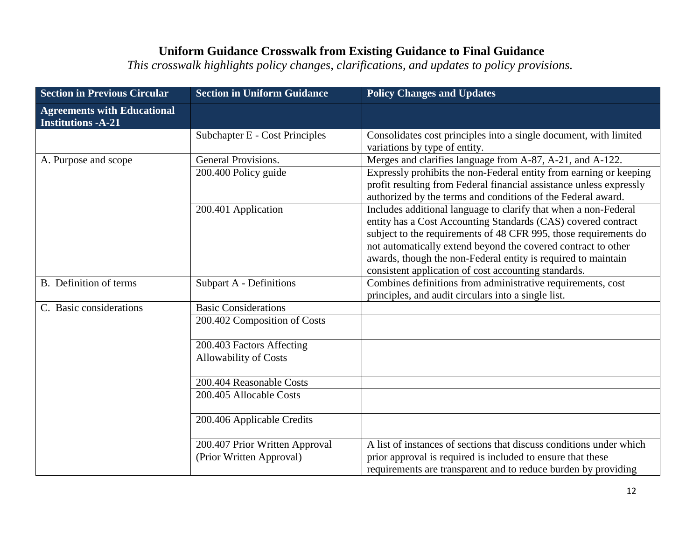| <b>Section in Previous Circular</b>                             | <b>Section in Uniform Guidance</b>                         | <b>Policy Changes and Updates</b>                                                                                                                                                                                                                                                                                                                                                              |
|-----------------------------------------------------------------|------------------------------------------------------------|------------------------------------------------------------------------------------------------------------------------------------------------------------------------------------------------------------------------------------------------------------------------------------------------------------------------------------------------------------------------------------------------|
| <b>Agreements with Educational</b><br><b>Institutions -A-21</b> |                                                            |                                                                                                                                                                                                                                                                                                                                                                                                |
|                                                                 | Subchapter E - Cost Principles                             | Consolidates cost principles into a single document, with limited<br>variations by type of entity.                                                                                                                                                                                                                                                                                             |
| A. Purpose and scope                                            | General Provisions.                                        | Merges and clarifies language from A-87, A-21, and A-122.                                                                                                                                                                                                                                                                                                                                      |
|                                                                 | 200.400 Policy guide                                       | Expressly prohibits the non-Federal entity from earning or keeping<br>profit resulting from Federal financial assistance unless expressly<br>authorized by the terms and conditions of the Federal award.                                                                                                                                                                                      |
|                                                                 | 200.401 Application                                        | Includes additional language to clarify that when a non-Federal<br>entity has a Cost Accounting Standards (CAS) covered contract<br>subject to the requirements of 48 CFR 995, those requirements do<br>not automatically extend beyond the covered contract to other<br>awards, though the non-Federal entity is required to maintain<br>consistent application of cost accounting standards. |
| B. Definition of terms                                          | Subpart A - Definitions                                    | Combines definitions from administrative requirements, cost<br>principles, and audit circulars into a single list.                                                                                                                                                                                                                                                                             |
| C. Basic considerations                                         | <b>Basic Considerations</b>                                |                                                                                                                                                                                                                                                                                                                                                                                                |
|                                                                 | 200.402 Composition of Costs                               |                                                                                                                                                                                                                                                                                                                                                                                                |
|                                                                 | 200.403 Factors Affecting                                  |                                                                                                                                                                                                                                                                                                                                                                                                |
|                                                                 | <b>Allowability of Costs</b>                               |                                                                                                                                                                                                                                                                                                                                                                                                |
|                                                                 | 200.404 Reasonable Costs                                   |                                                                                                                                                                                                                                                                                                                                                                                                |
|                                                                 | 200.405 Allocable Costs                                    |                                                                                                                                                                                                                                                                                                                                                                                                |
|                                                                 | 200.406 Applicable Credits                                 |                                                                                                                                                                                                                                                                                                                                                                                                |
|                                                                 | 200.407 Prior Written Approval<br>(Prior Written Approval) | A list of instances of sections that discuss conditions under which<br>prior approval is required is included to ensure that these<br>requirements are transparent and to reduce burden by providing                                                                                                                                                                                           |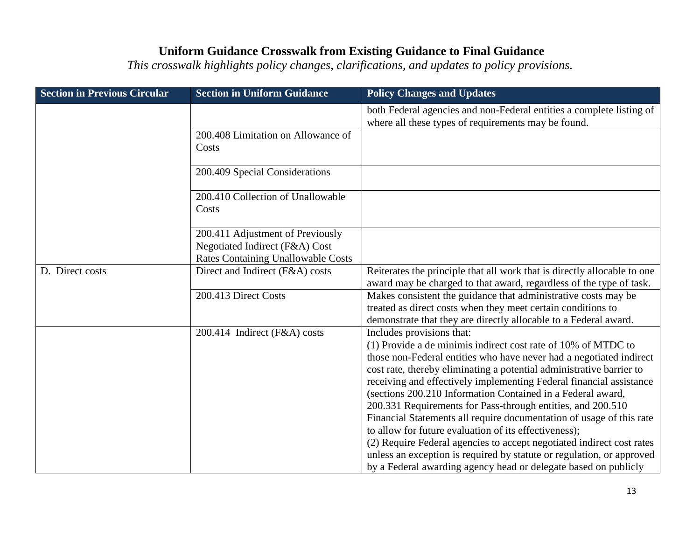| <b>Section in Previous Circular</b> | <b>Section in Uniform Guidance</b>                                                                              | <b>Policy Changes and Updates</b>                                                                                                                                                                                                                                                                                                                                                                                                                                                                                                                                                                                                                                                                                                                                                                    |
|-------------------------------------|-----------------------------------------------------------------------------------------------------------------|------------------------------------------------------------------------------------------------------------------------------------------------------------------------------------------------------------------------------------------------------------------------------------------------------------------------------------------------------------------------------------------------------------------------------------------------------------------------------------------------------------------------------------------------------------------------------------------------------------------------------------------------------------------------------------------------------------------------------------------------------------------------------------------------------|
|                                     |                                                                                                                 | both Federal agencies and non-Federal entities a complete listing of<br>where all these types of requirements may be found.                                                                                                                                                                                                                                                                                                                                                                                                                                                                                                                                                                                                                                                                          |
|                                     | 200.408 Limitation on Allowance of<br>Costs                                                                     |                                                                                                                                                                                                                                                                                                                                                                                                                                                                                                                                                                                                                                                                                                                                                                                                      |
|                                     | 200.409 Special Considerations                                                                                  |                                                                                                                                                                                                                                                                                                                                                                                                                                                                                                                                                                                                                                                                                                                                                                                                      |
|                                     | 200.410 Collection of Unallowable<br>Costs                                                                      |                                                                                                                                                                                                                                                                                                                                                                                                                                                                                                                                                                                                                                                                                                                                                                                                      |
|                                     | 200.411 Adjustment of Previously<br>Negotiated Indirect (F&A) Cost<br><b>Rates Containing Unallowable Costs</b> |                                                                                                                                                                                                                                                                                                                                                                                                                                                                                                                                                                                                                                                                                                                                                                                                      |
| D. Direct costs                     | Direct and Indirect (F&A) costs                                                                                 | Reiterates the principle that all work that is directly allocable to one<br>award may be charged to that award, regardless of the type of task.                                                                                                                                                                                                                                                                                                                                                                                                                                                                                                                                                                                                                                                      |
|                                     | 200.413 Direct Costs                                                                                            | Makes consistent the guidance that administrative costs may be<br>treated as direct costs when they meet certain conditions to<br>demonstrate that they are directly allocable to a Federal award.                                                                                                                                                                                                                                                                                                                                                                                                                                                                                                                                                                                                   |
|                                     | 200.414 Indirect (F&A) costs                                                                                    | Includes provisions that:<br>(1) Provide a de minimis indirect cost rate of 10% of MTDC to<br>those non-Federal entities who have never had a negotiated indirect<br>cost rate, thereby eliminating a potential administrative barrier to<br>receiving and effectively implementing Federal financial assistance<br>(sections 200.210 Information Contained in a Federal award,<br>200.331 Requirements for Pass-through entities, and 200.510<br>Financial Statements all require documentation of usage of this rate<br>to allow for future evaluation of its effectiveness);<br>(2) Require Federal agencies to accept negotiated indirect cost rates<br>unless an exception is required by statute or regulation, or approved<br>by a Federal awarding agency head or delegate based on publicly |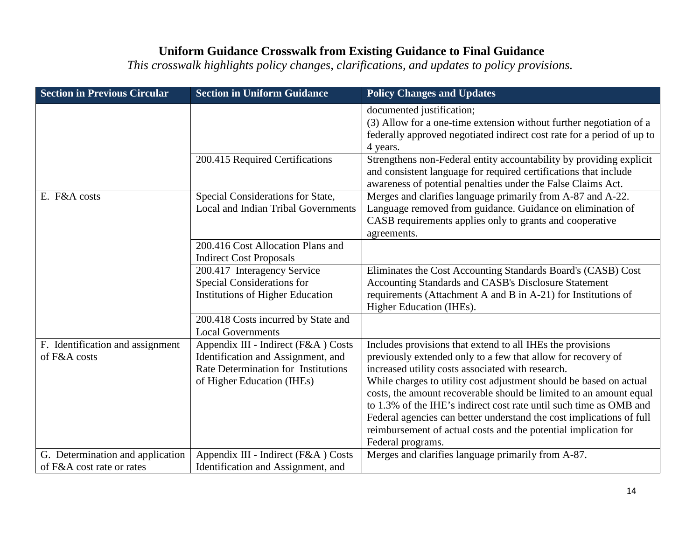| <b>Section in Previous Circular</b>              | <b>Section in Uniform Guidance</b>                                                                                                             | <b>Policy Changes and Updates</b>                                                                                                                                                                                                                                                                                                                                                                                                                                                                                                                                 |
|--------------------------------------------------|------------------------------------------------------------------------------------------------------------------------------------------------|-------------------------------------------------------------------------------------------------------------------------------------------------------------------------------------------------------------------------------------------------------------------------------------------------------------------------------------------------------------------------------------------------------------------------------------------------------------------------------------------------------------------------------------------------------------------|
|                                                  |                                                                                                                                                | documented justification;<br>(3) Allow for a one-time extension without further negotiation of a<br>federally approved negotiated indirect cost rate for a period of up to<br>4 years.                                                                                                                                                                                                                                                                                                                                                                            |
|                                                  | 200.415 Required Certifications                                                                                                                | Strengthens non-Federal entity accountability by providing explicit<br>and consistent language for required certifications that include<br>awareness of potential penalties under the False Claims Act.                                                                                                                                                                                                                                                                                                                                                           |
| E. F&A costs                                     | Special Considerations for State,<br><b>Local and Indian Tribal Governments</b>                                                                | Merges and clarifies language primarily from A-87 and A-22.<br>Language removed from guidance. Guidance on elimination of<br>CASB requirements applies only to grants and cooperative<br>agreements.                                                                                                                                                                                                                                                                                                                                                              |
|                                                  | 200.416 Cost Allocation Plans and<br><b>Indirect Cost Proposals</b>                                                                            |                                                                                                                                                                                                                                                                                                                                                                                                                                                                                                                                                                   |
|                                                  | 200.417 Interagency Service<br>Special Considerations for<br>Institutions of Higher Education                                                  | Eliminates the Cost Accounting Standards Board's (CASB) Cost<br>Accounting Standards and CASB's Disclosure Statement<br>requirements (Attachment A and B in A-21) for Institutions of<br>Higher Education (IHEs).                                                                                                                                                                                                                                                                                                                                                 |
|                                                  | 200.418 Costs incurred by State and<br><b>Local Governments</b>                                                                                |                                                                                                                                                                                                                                                                                                                                                                                                                                                                                                                                                                   |
| F. Identification and assignment<br>of F&A costs | Appendix III - Indirect (F&A) Costs<br>Identification and Assignment, and<br>Rate Determination for Institutions<br>of Higher Education (IHEs) | Includes provisions that extend to all IHEs the provisions<br>previously extended only to a few that allow for recovery of<br>increased utility costs associated with research.<br>While charges to utility cost adjustment should be based on actual<br>costs, the amount recoverable should be limited to an amount equal<br>to 1.3% of the IHE's indirect cost rate until such time as OMB and<br>Federal agencies can better understand the cost implications of full<br>reimbursement of actual costs and the potential implication for<br>Federal programs. |
| G. Determination and application                 | Appendix III - Indirect (F&A) Costs                                                                                                            | Merges and clarifies language primarily from A-87.                                                                                                                                                                                                                                                                                                                                                                                                                                                                                                                |
| of F&A cost rate or rates                        | Identification and Assignment, and                                                                                                             |                                                                                                                                                                                                                                                                                                                                                                                                                                                                                                                                                                   |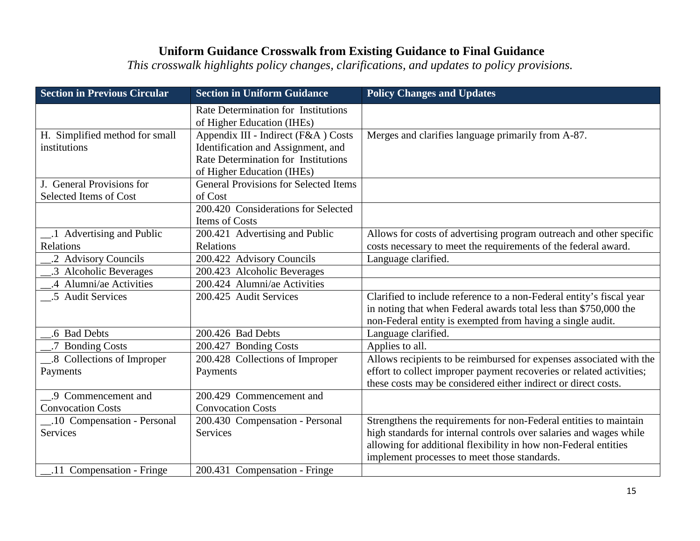| <b>Section in Previous Circular</b> | <b>Section in Uniform Guidance</b>                                       | <b>Policy Changes and Updates</b>                                    |
|-------------------------------------|--------------------------------------------------------------------------|----------------------------------------------------------------------|
|                                     | <b>Rate Determination for Institutions</b><br>of Higher Education (IHEs) |                                                                      |
| H. Simplified method for small      | Appendix III - Indirect (F&A) Costs                                      | Merges and clarifies language primarily from A-87.                   |
| institutions                        | Identification and Assignment, and                                       |                                                                      |
|                                     | <b>Rate Determination for Institutions</b>                               |                                                                      |
|                                     | of Higher Education (IHEs)                                               |                                                                      |
| J. General Provisions for           | <b>General Provisions for Selected Items</b>                             |                                                                      |
| Selected Items of Cost              | of Cost                                                                  |                                                                      |
|                                     | 200.420 Considerations for Selected                                      |                                                                      |
|                                     | Items of Costs                                                           |                                                                      |
| 1 Advertising and Public            | 200.421 Advertising and Public                                           | Allows for costs of advertising program outreach and other specific  |
| Relations                           | Relations                                                                | costs necessary to meet the requirements of the federal award.       |
| .2 Advisory Councils                | 200.422 Advisory Councils                                                | Language clarified.                                                  |
| .3 Alcoholic Beverages              | 200.423 Alcoholic Beverages                                              |                                                                      |
| .4 Alumni/ae Activities             | 200.424 Alumni/ae Activities                                             |                                                                      |
| .5 Audit Services                   | 200.425 Audit Services                                                   | Clarified to include reference to a non-Federal entity's fiscal year |
|                                     |                                                                          | in noting that when Federal awards total less than \$750,000 the     |
|                                     |                                                                          | non-Federal entity is exempted from having a single audit.           |
| .6 Bad Debts                        | 200.426 Bad Debts                                                        | Language clarified.                                                  |
| .7 Bonding Costs                    | 200.427 Bonding Costs                                                    | Applies to all.                                                      |
| _8 Collections of Improper          | 200.428 Collections of Improper                                          | Allows recipients to be reimbursed for expenses associated with the  |
| Payments                            | Payments                                                                 | effort to collect improper payment recoveries or related activities; |
|                                     |                                                                          | these costs may be considered either indirect or direct costs.       |
| .9 Commencement and                 | 200.429 Commencement and                                                 |                                                                      |
| <b>Convocation Costs</b>            | <b>Convocation Costs</b>                                                 |                                                                      |
| _.10 Compensation - Personal        | 200.430 Compensation - Personal                                          | Strengthens the requirements for non-Federal entities to maintain    |
| Services                            | <b>Services</b>                                                          | high standards for internal controls over salaries and wages while   |
|                                     |                                                                          | allowing for additional flexibility in how non-Federal entities      |
|                                     |                                                                          | implement processes to meet those standards.                         |
| .11 Compensation - Fringe           | 200.431 Compensation - Fringe                                            |                                                                      |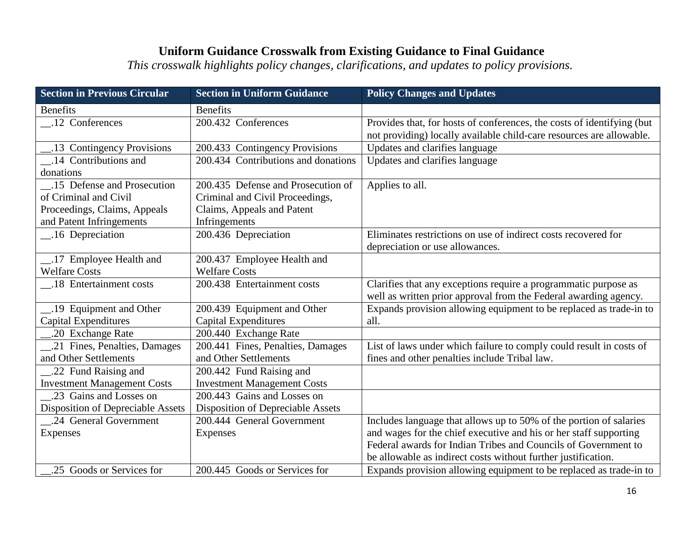| <b>Section in Previous Circular</b> | <b>Section in Uniform Guidance</b>  | <b>Policy Changes and Updates</b>                                                                                                              |
|-------------------------------------|-------------------------------------|------------------------------------------------------------------------------------------------------------------------------------------------|
| <b>Benefits</b>                     | <b>Benefits</b>                     |                                                                                                                                                |
| _12 Conferences                     | 200.432 Conferences                 | Provides that, for hosts of conferences, the costs of identifying (but<br>not providing) locally available child-care resources are allowable. |
| .13 Contingency Provisions          | 200.433 Contingency Provisions      | Updates and clarifies language                                                                                                                 |
| .14 Contributions and               | 200.434 Contributions and donations | Updates and clarifies language                                                                                                                 |
| donations                           |                                     |                                                                                                                                                |
| .15 Defense and Prosecution         | 200.435 Defense and Prosecution of  | Applies to all.                                                                                                                                |
| of Criminal and Civil               | Criminal and Civil Proceedings,     |                                                                                                                                                |
| Proceedings, Claims, Appeals        | Claims, Appeals and Patent          |                                                                                                                                                |
| and Patent Infringements            | Infringements                       |                                                                                                                                                |
| 16 Depreciation                     | 200.436 Depreciation                | Eliminates restrictions on use of indirect costs recovered for                                                                                 |
|                                     |                                     | depreciation or use allowances.                                                                                                                |
| _.17 Employee Health and            | 200.437 Employee Health and         |                                                                                                                                                |
| <b>Welfare Costs</b>                | <b>Welfare Costs</b>                |                                                                                                                                                |
| .18 Entertainment costs             | 200.438 Entertainment costs         | Clarifies that any exceptions require a programmatic purpose as<br>well as written prior approval from the Federal awarding agency.            |
| 19 Equipment and Other              | 200.439 Equipment and Other         | Expands provision allowing equipment to be replaced as trade-in to                                                                             |
| Capital Expenditures                | <b>Capital Expenditures</b>         | all.                                                                                                                                           |
| .20 Exchange Rate                   | 200.440 Exchange Rate               |                                                                                                                                                |
| .21 Fines, Penalties, Damages       | 200.441 Fines, Penalties, Damages   | List of laws under which failure to comply could result in costs of                                                                            |
| and Other Settlements               | and Other Settlements               | fines and other penalties include Tribal law.                                                                                                  |
| .22 Fund Raising and                | 200.442 Fund Raising and            |                                                                                                                                                |
| <b>Investment Management Costs</b>  | <b>Investment Management Costs</b>  |                                                                                                                                                |
| .23 Gains and Losses on             | 200.443 Gains and Losses on         |                                                                                                                                                |
| Disposition of Depreciable Assets   | Disposition of Depreciable Assets   |                                                                                                                                                |
| .24 General Government              | 200.444 General Government          | Includes language that allows up to 50% of the portion of salaries                                                                             |
| <b>Expenses</b>                     | Expenses                            | and wages for the chief executive and his or her staff supporting                                                                              |
|                                     |                                     | Federal awards for Indian Tribes and Councils of Government to                                                                                 |
|                                     |                                     | be allowable as indirect costs without further justification.                                                                                  |
| .25 Goods or Services for           | 200.445 Goods or Services for       | Expands provision allowing equipment to be replaced as trade-in to                                                                             |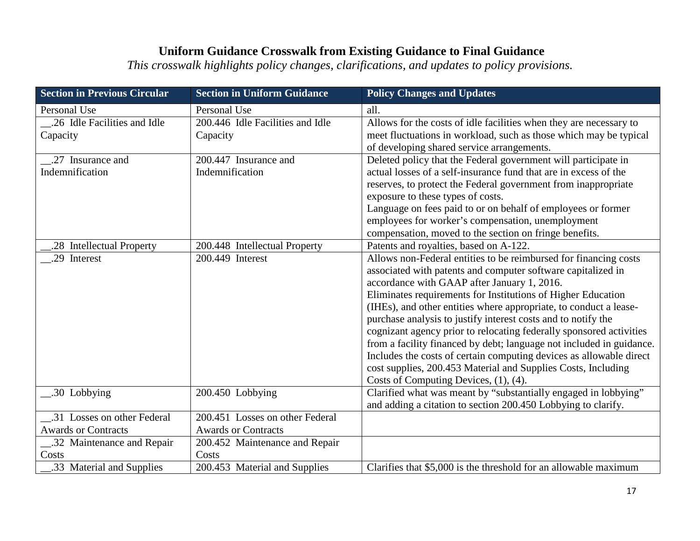| <b>Section in Previous Circular</b> | <b>Section in Uniform Guidance</b> | <b>Policy Changes and Updates</b>                                    |
|-------------------------------------|------------------------------------|----------------------------------------------------------------------|
| <b>Personal Use</b>                 | Personal Use                       | all.                                                                 |
| 26 Idle Facilities and Idle         | 200.446 Idle Facilities and Idle   | Allows for the costs of idle facilities when they are necessary to   |
| Capacity                            | Capacity                           | meet fluctuations in workload, such as those which may be typical    |
|                                     |                                    | of developing shared service arrangements.                           |
| .27 Insurance and                   | 200.447 Insurance and              | Deleted policy that the Federal government will participate in       |
| Indemnification                     | Indemnification                    | actual losses of a self-insurance fund that are in excess of the     |
|                                     |                                    | reserves, to protect the Federal government from inappropriate       |
|                                     |                                    | exposure to these types of costs.                                    |
|                                     |                                    | Language on fees paid to or on behalf of employees or former         |
|                                     |                                    | employees for worker's compensation, unemployment                    |
|                                     |                                    | compensation, moved to the section on fringe benefits.               |
| .28 Intellectual Property           | 200.448 Intellectual Property      | Patents and royalties, based on A-122.                               |
| .29 Interest                        | 200.449 Interest                   | Allows non-Federal entities to be reimbursed for financing costs     |
|                                     |                                    | associated with patents and computer software capitalized in         |
|                                     |                                    | accordance with GAAP after January 1, 2016.                          |
|                                     |                                    | Eliminates requirements for Institutions of Higher Education         |
|                                     |                                    | (IHEs), and other entities where appropriate, to conduct a lease-    |
|                                     |                                    | purchase analysis to justify interest costs and to notify the        |
|                                     |                                    | cognizant agency prior to relocating federally sponsored activities  |
|                                     |                                    | from a facility financed by debt; language not included in guidance. |
|                                     |                                    | Includes the costs of certain computing devices as allowable direct  |
|                                     |                                    | cost supplies, 200.453 Material and Supplies Costs, Including        |
|                                     |                                    | Costs of Computing Devices, (1), (4).                                |
| .30 Lobbying                        | 200.450 Lobbying                   | Clarified what was meant by "substantially engaged in lobbying"      |
|                                     |                                    | and adding a citation to section 200.450 Lobbying to clarify.        |
| .31 Losses on other Federal         | 200.451 Losses on other Federal    |                                                                      |
| <b>Awards or Contracts</b>          | <b>Awards or Contracts</b>         |                                                                      |
| 32 Maintenance and Repair           | 200.452 Maintenance and Repair     |                                                                      |
| Costs                               | Costs                              |                                                                      |
| .33 Material and Supplies           | 200.453 Material and Supplies      | Clarifies that \$5,000 is the threshold for an allowable maximum     |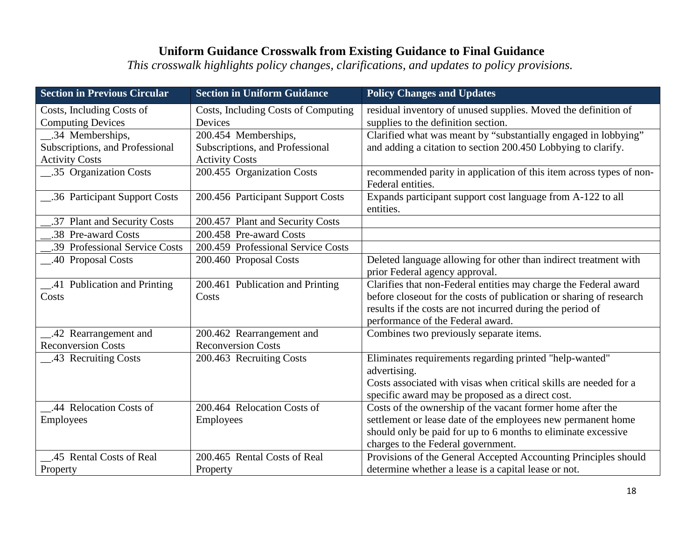| <b>Section in Previous Circular</b> | <b>Section in Uniform Guidance</b>  | <b>Policy Changes and Updates</b>                                                        |
|-------------------------------------|-------------------------------------|------------------------------------------------------------------------------------------|
| Costs, Including Costs of           | Costs, Including Costs of Computing | residual inventory of unused supplies. Moved the definition of                           |
| <b>Computing Devices</b>            | Devices                             | supplies to the definition section.                                                      |
| 34 Memberships,                     | 200.454 Memberships,                | Clarified what was meant by "substantially engaged in lobbying"                          |
| Subscriptions, and Professional     | Subscriptions, and Professional     | and adding a citation to section 200.450 Lobbying to clarify.                            |
| <b>Activity Costs</b>               | <b>Activity Costs</b>               |                                                                                          |
| .35 Organization Costs              | 200.455 Organization Costs          | recommended parity in application of this item across types of non-<br>Federal entities. |
| .36 Participant Support Costs       | 200.456 Participant Support Costs   | Expands participant support cost language from A-122 to all<br>entities.                 |
| .37 Plant and Security Costs        | 200.457 Plant and Security Costs    |                                                                                          |
| .38 Pre-award Costs                 | 200.458 Pre-award Costs             |                                                                                          |
| .39 Professional Service Costs      | 200.459 Professional Service Costs  |                                                                                          |
| 40 Proposal Costs                   | 200.460 Proposal Costs              | Deleted language allowing for other than indirect treatment with                         |
|                                     |                                     | prior Federal agency approval.                                                           |
| .41 Publication and Printing        | 200.461 Publication and Printing    | Clarifies that non-Federal entities may charge the Federal award                         |
| Costs                               | Costs                               | before closeout for the costs of publication or sharing of research                      |
|                                     |                                     | results if the costs are not incurred during the period of                               |
|                                     |                                     | performance of the Federal award.                                                        |
| _.42 Rearrangement and              | 200.462 Rearrangement and           | Combines two previously separate items.                                                  |
| <b>Reconversion Costs</b>           | <b>Reconversion Costs</b>           |                                                                                          |
| __.43 Recruiting Costs              | 200.463 Recruiting Costs            | Eliminates requirements regarding printed "help-wanted"                                  |
|                                     |                                     | advertising.                                                                             |
|                                     |                                     | Costs associated with visas when critical skills are needed for a                        |
|                                     |                                     | specific award may be proposed as a direct cost.                                         |
| .44 Relocation Costs of             | 200.464 Relocation Costs of         | Costs of the ownership of the vacant former home after the                               |
| <b>Employees</b>                    | Employees                           | settlement or lease date of the employees new permanent home                             |
|                                     |                                     | should only be paid for up to 6 months to eliminate excessive                            |
|                                     |                                     | charges to the Federal government.                                                       |
| .45 Rental Costs of Real            | 200.465 Rental Costs of Real        | Provisions of the General Accepted Accounting Principles should                          |
| Property                            | Property                            | determine whether a lease is a capital lease or not.                                     |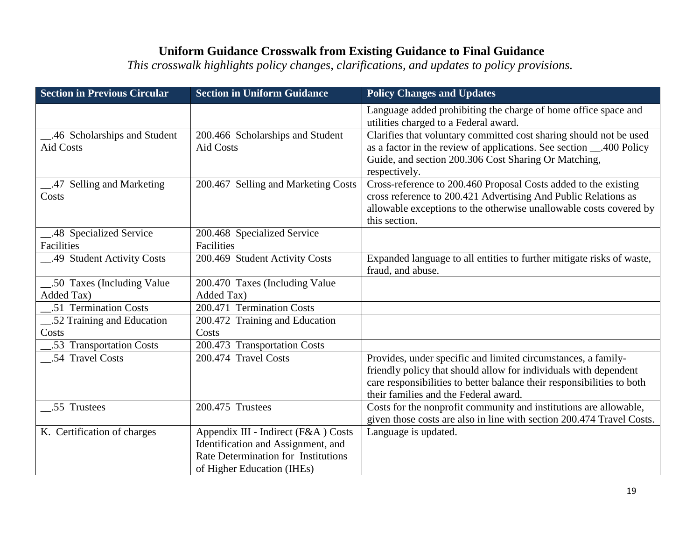| <b>Section in Previous Circular</b> | <b>Section in Uniform Guidance</b>         | <b>Policy Changes and Updates</b>                                                                                                    |
|-------------------------------------|--------------------------------------------|--------------------------------------------------------------------------------------------------------------------------------------|
|                                     |                                            | Language added prohibiting the charge of home office space and<br>utilities charged to a Federal award.                              |
| 46 Scholarships and Student         | 200.466 Scholarships and Student           | Clarifies that voluntary committed cost sharing should not be used                                                                   |
| <b>Aid Costs</b>                    | <b>Aid Costs</b>                           | as a factor in the review of applications. See section ___.400 Policy                                                                |
|                                     |                                            | Guide, and section 200.306 Cost Sharing Or Matching,<br>respectively.                                                                |
| 47 Selling and Marketing            | 200.467 Selling and Marketing Costs        | Cross-reference to 200.460 Proposal Costs added to the existing                                                                      |
| Costs                               |                                            | cross reference to 200.421 Advertising And Public Relations as<br>allowable exceptions to the otherwise unallowable costs covered by |
|                                     |                                            | this section.                                                                                                                        |
| 48 Specialized Service              | 200.468 Specialized Service                |                                                                                                                                      |
| Facilities                          | Facilities                                 |                                                                                                                                      |
| 49 Student Activity Costs           | 200.469 Student Activity Costs             | Expanded language to all entities to further mitigate risks of waste,                                                                |
|                                     |                                            | fraud, and abuse.                                                                                                                    |
| .50 Taxes (Including Value)         | 200.470 Taxes (Including Value             |                                                                                                                                      |
| Added Tax)                          | Added Tax)                                 |                                                                                                                                      |
| .51 Termination Costs               | 200.471 Termination Costs                  |                                                                                                                                      |
| .52 Training and Education          | 200.472 Training and Education             |                                                                                                                                      |
| Costs                               | Costs                                      |                                                                                                                                      |
| .53 Transportation Costs            | 200.473 Transportation Costs               |                                                                                                                                      |
| .54 Travel Costs                    | 200.474 Travel Costs                       | Provides, under specific and limited circumstances, a family-                                                                        |
|                                     |                                            | friendly policy that should allow for individuals with dependent                                                                     |
|                                     |                                            | care responsibilities to better balance their responsibilities to both                                                               |
|                                     |                                            | their families and the Federal award.                                                                                                |
| .55 Trustees                        | 200.475 Trustees                           | Costs for the nonprofit community and institutions are allowable,                                                                    |
|                                     |                                            | given those costs are also in line with section 200.474 Travel Costs.                                                                |
| K. Certification of charges         | Appendix III - Indirect (F&A) Costs        | Language is updated.                                                                                                                 |
|                                     | Identification and Assignment, and         |                                                                                                                                      |
|                                     | <b>Rate Determination for Institutions</b> |                                                                                                                                      |
|                                     | of Higher Education (IHEs)                 |                                                                                                                                      |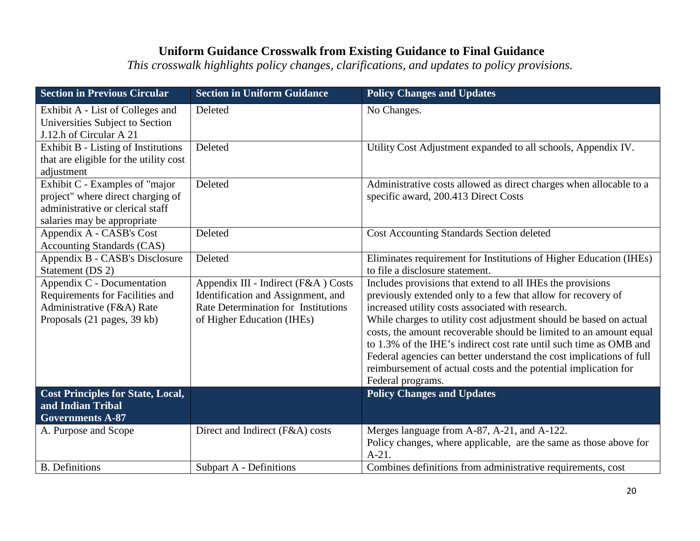| <b>Section in Previous Circular</b>                                                                                                    | <b>Section in Uniform Guidance</b>                                                                                                             | <b>Policy Changes and Updates</b>                                                                                                                                                                                                                                                                                                                                                                                                                                                                                                                                 |
|----------------------------------------------------------------------------------------------------------------------------------------|------------------------------------------------------------------------------------------------------------------------------------------------|-------------------------------------------------------------------------------------------------------------------------------------------------------------------------------------------------------------------------------------------------------------------------------------------------------------------------------------------------------------------------------------------------------------------------------------------------------------------------------------------------------------------------------------------------------------------|
| Exhibit A - List of Colleges and<br>Universities Subject to Section<br>J.12.h of Circular A 21                                         | Deleted                                                                                                                                        | No Changes.                                                                                                                                                                                                                                                                                                                                                                                                                                                                                                                                                       |
| Exhibit B - Listing of Institutions<br>that are eligible for the utility cost<br>adjustment                                            | Deleted                                                                                                                                        | Utility Cost Adjustment expanded to all schools, Appendix IV.                                                                                                                                                                                                                                                                                                                                                                                                                                                                                                     |
| Exhibit C - Examples of "major<br>project" where direct charging of<br>administrative or clerical staff<br>salaries may be appropriate | Deleted                                                                                                                                        | Administrative costs allowed as direct charges when allocable to a<br>specific award, 200.413 Direct Costs                                                                                                                                                                                                                                                                                                                                                                                                                                                        |
| Appendix A - CASB's Cost<br><b>Accounting Standards (CAS)</b>                                                                          | Deleted                                                                                                                                        | <b>Cost Accounting Standards Section deleted</b>                                                                                                                                                                                                                                                                                                                                                                                                                                                                                                                  |
| Appendix B - CASB's Disclosure<br>Statement (DS 2)                                                                                     | Deleted                                                                                                                                        | Eliminates requirement for Institutions of Higher Education (IHEs)<br>to file a disclosure statement.                                                                                                                                                                                                                                                                                                                                                                                                                                                             |
| Appendix C - Documentation<br>Requirements for Facilities and<br>Administrative (F&A) Rate<br>Proposals (21 pages, 39 kb)              | Appendix III - Indirect (F&A) Costs<br>Identification and Assignment, and<br>Rate Determination for Institutions<br>of Higher Education (IHEs) | Includes provisions that extend to all IHEs the provisions<br>previously extended only to a few that allow for recovery of<br>increased utility costs associated with research.<br>While charges to utility cost adjustment should be based on actual<br>costs, the amount recoverable should be limited to an amount equal<br>to 1.3% of the IHE's indirect cost rate until such time as OMB and<br>Federal agencies can better understand the cost implications of full<br>reimbursement of actual costs and the potential implication for<br>Federal programs. |
| <b>Cost Principles for State, Local,</b><br>and Indian Tribal                                                                          |                                                                                                                                                | <b>Policy Changes and Updates</b>                                                                                                                                                                                                                                                                                                                                                                                                                                                                                                                                 |
| <b>Governments A-87</b>                                                                                                                |                                                                                                                                                |                                                                                                                                                                                                                                                                                                                                                                                                                                                                                                                                                                   |
| A. Purpose and Scope                                                                                                                   | Direct and Indirect (F&A) costs                                                                                                                | Merges language from A-87, A-21, and A-122.<br>Policy changes, where applicable, are the same as those above for<br>$A-21.$                                                                                                                                                                                                                                                                                                                                                                                                                                       |
| <b>B.</b> Definitions                                                                                                                  | Subpart A - Definitions                                                                                                                        | Combines definitions from administrative requirements, cost                                                                                                                                                                                                                                                                                                                                                                                                                                                                                                       |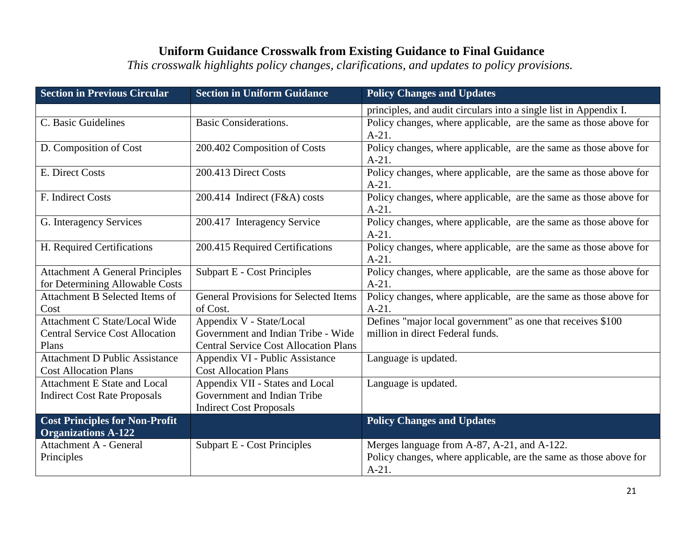| <b>Section in Previous Circular</b>    | <b>Section in Uniform Guidance</b>           | <b>Policy Changes and Updates</b>                                                                                |
|----------------------------------------|----------------------------------------------|------------------------------------------------------------------------------------------------------------------|
|                                        |                                              | principles, and audit circulars into a single list in Appendix I.                                                |
| C. Basic Guidelines                    | <b>Basic Considerations.</b>                 | Policy changes, where applicable, are the same as those above for                                                |
|                                        |                                              | $A-21.$                                                                                                          |
| D. Composition of Cost                 | 200.402 Composition of Costs                 | Policy changes, where applicable, are the same as those above for                                                |
|                                        |                                              | $A-21.$                                                                                                          |
| E. Direct Costs                        | 200.413 Direct Costs                         | Policy changes, where applicable, are the same as those above for                                                |
|                                        |                                              | $A-21.$                                                                                                          |
| F. Indirect Costs                      | 200.414 Indirect (F&A) costs                 | Policy changes, where applicable, are the same as those above for                                                |
|                                        |                                              | $A-21.$                                                                                                          |
| G. Interagency Services                | 200.417 Interagency Service                  | Policy changes, where applicable, are the same as those above for<br>$A-21.$                                     |
| H. Required Certifications             | 200.415 Required Certifications              | Policy changes, where applicable, are the same as those above for                                                |
|                                        |                                              | $A-21.$                                                                                                          |
| <b>Attachment A General Principles</b> | Subpart E - Cost Principles                  | Policy changes, where applicable, are the same as those above for                                                |
| for Determining Allowable Costs        |                                              | $A-21.$                                                                                                          |
| Attachment B Selected Items of         | <b>General Provisions for Selected Items</b> | Policy changes, where applicable, are the same as those above for                                                |
| Cost                                   | of Cost.                                     | $A-21.$                                                                                                          |
| Attachment C State/Local Wide          | Appendix V - State/Local                     | Defines "major local government" as one that receives \$100                                                      |
| <b>Central Service Cost Allocation</b> | Government and Indian Tribe - Wide           | million in direct Federal funds.                                                                                 |
| Plans                                  | <b>Central Service Cost Allocation Plans</b> |                                                                                                                  |
| <b>Attachment D Public Assistance</b>  | Appendix VI - Public Assistance              | Language is updated.                                                                                             |
| <b>Cost Allocation Plans</b>           | <b>Cost Allocation Plans</b>                 |                                                                                                                  |
| <b>Attachment E State and Local</b>    | Appendix VII - States and Local              | Language is updated.                                                                                             |
| <b>Indirect Cost Rate Proposals</b>    | Government and Indian Tribe                  |                                                                                                                  |
|                                        | <b>Indirect Cost Proposals</b>               |                                                                                                                  |
| <b>Cost Principles for Non-Profit</b>  |                                              | <b>Policy Changes and Updates</b>                                                                                |
| <b>Organizations A-122</b>             |                                              |                                                                                                                  |
| <b>Attachment A - General</b>          | <b>Subpart E - Cost Principles</b>           | Merges language from A-87, A-21, and A-122.<br>Policy changes, where applicable, are the same as those above for |
| Principles                             |                                              | $A-21.$                                                                                                          |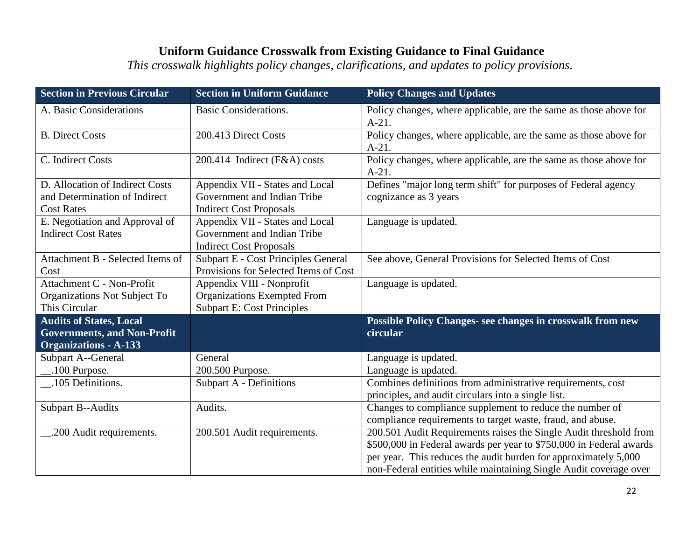| <b>Section in Previous Circular</b>                                                                  | <b>Section in Uniform Guidance</b>                                                                   | <b>Policy Changes and Updates</b>                                                                                                                                                                                                                                                |
|------------------------------------------------------------------------------------------------------|------------------------------------------------------------------------------------------------------|----------------------------------------------------------------------------------------------------------------------------------------------------------------------------------------------------------------------------------------------------------------------------------|
| A. Basic Considerations                                                                              | <b>Basic Considerations.</b>                                                                         | Policy changes, where applicable, are the same as those above for<br>$A-21.$                                                                                                                                                                                                     |
| <b>B.</b> Direct Costs                                                                               | 200.413 Direct Costs                                                                                 | Policy changes, where applicable, are the same as those above for<br>$A-21.$                                                                                                                                                                                                     |
| C. Indirect Costs                                                                                    | 200.414 Indirect (F&A) costs                                                                         | Policy changes, where applicable, are the same as those above for<br>$A-21.$                                                                                                                                                                                                     |
| D. Allocation of Indirect Costs<br>and Determination of Indirect<br><b>Cost Rates</b>                | Appendix VII - States and Local<br>Government and Indian Tribe<br><b>Indirect Cost Proposals</b>     | Defines "major long term shift" for purposes of Federal agency<br>cognizance as 3 years                                                                                                                                                                                          |
| E. Negotiation and Approval of<br><b>Indirect Cost Rates</b>                                         | Appendix VII - States and Local<br>Government and Indian Tribe<br><b>Indirect Cost Proposals</b>     | Language is updated.                                                                                                                                                                                                                                                             |
| Attachment B - Selected Items of<br>Cost                                                             | <b>Subpart E - Cost Principles General</b><br>Provisions for Selected Items of Cost                  | See above, General Provisions for Selected Items of Cost                                                                                                                                                                                                                         |
| Attachment C - Non-Profit<br>Organizations Not Subject To<br>This Circular                           | Appendix VIII - Nonprofit<br><b>Organizations Exempted From</b><br><b>Subpart E: Cost Principles</b> | Language is updated.                                                                                                                                                                                                                                                             |
| <b>Audits of States, Local</b><br><b>Governments, and Non-Profit</b><br><b>Organizations - A-133</b> |                                                                                                      | Possible Policy Changes- see changes in crosswalk from new<br>circular                                                                                                                                                                                                           |
| Subpart A--General                                                                                   | General                                                                                              | Language is updated.                                                                                                                                                                                                                                                             |
| .100 Purpose.                                                                                        | 200.500 Purpose.                                                                                     | Language is updated.                                                                                                                                                                                                                                                             |
| .105 Definitions.                                                                                    | <b>Subpart A - Definitions</b>                                                                       | Combines definitions from administrative requirements, cost<br>principles, and audit circulars into a single list.                                                                                                                                                               |
| <b>Subpart B--Audits</b>                                                                             | Audits.                                                                                              | Changes to compliance supplement to reduce the number of<br>compliance requirements to target waste, fraud, and abuse.                                                                                                                                                           |
| 200 Audit requirements.                                                                              | 200.501 Audit requirements.                                                                          | 200.501 Audit Requirements raises the Single Audit threshold from<br>\$500,000 in Federal awards per year to \$750,000 in Federal awards<br>per year. This reduces the audit burden for approximately 5,000<br>non-Federal entities while maintaining Single Audit coverage over |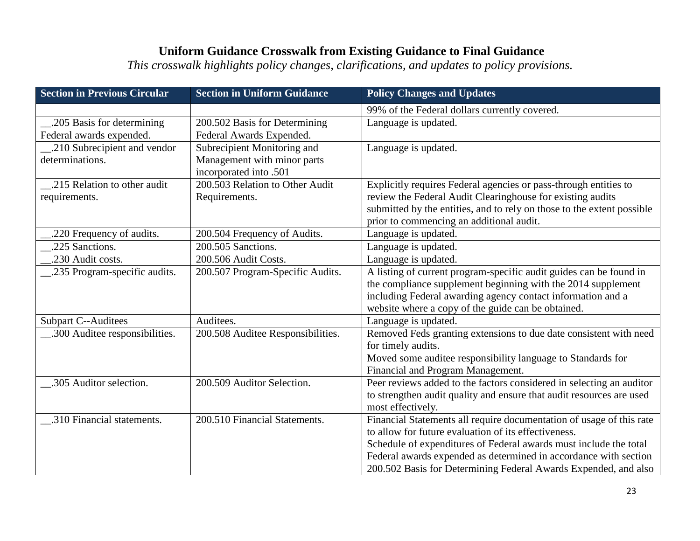| <b>Section in Previous Circular</b> | <b>Section in Uniform Guidance</b> | <b>Policy Changes and Updates</b>                                      |
|-------------------------------------|------------------------------------|------------------------------------------------------------------------|
|                                     |                                    | 99% of the Federal dollars currently covered.                          |
| .205 Basis for determining          | 200.502 Basis for Determining      | Language is updated.                                                   |
| Federal awards expended.            | Federal Awards Expended.           |                                                                        |
| .210 Subrecipient and vendor        | Subrecipient Monitoring and        | Language is updated.                                                   |
| determinations.                     | Management with minor parts        |                                                                        |
|                                     | incorporated into .501             |                                                                        |
| .215 Relation to other audit        | 200.503 Relation to Other Audit    | Explicitly requires Federal agencies or pass-through entities to       |
| requirements.                       | Requirements.                      | review the Federal Audit Clearinghouse for existing audits             |
|                                     |                                    | submitted by the entities, and to rely on those to the extent possible |
|                                     |                                    | prior to commencing an additional audit.                               |
| .220 Frequency of audits.           | 200.504 Frequency of Audits.       | Language is updated.                                                   |
| .225 Sanctions.                     | 200.505 Sanctions.                 | Language is updated.                                                   |
| .230 Audit costs.                   | 200.506 Audit Costs.               | Language is updated.                                                   |
| .235 Program-specific audits.       | 200.507 Program-Specific Audits.   | A listing of current program-specific audit guides can be found in     |
|                                     |                                    | the compliance supplement beginning with the 2014 supplement           |
|                                     |                                    | including Federal awarding agency contact information and a            |
|                                     |                                    | website where a copy of the guide can be obtained.                     |
| <b>Subpart C--Auditees</b>          | Auditees.                          | Language is updated.                                                   |
| 300 Auditee responsibilities.       | 200.508 Auditee Responsibilities.  | Removed Feds granting extensions to due date consistent with need      |
|                                     |                                    | for timely audits.                                                     |
|                                     |                                    | Moved some auditee responsibility language to Standards for            |
|                                     |                                    | Financial and Program Management.                                      |
| .305 Auditor selection.             | 200.509 Auditor Selection.         | Peer reviews added to the factors considered in selecting an auditor   |
|                                     |                                    | to strengthen audit quality and ensure that audit resources are used   |
|                                     |                                    | most effectively.                                                      |
| .310 Financial statements.          | 200.510 Financial Statements.      | Financial Statements all require documentation of usage of this rate   |
|                                     |                                    | to allow for future evaluation of its effectiveness.                   |
|                                     |                                    | Schedule of expenditures of Federal awards must include the total      |
|                                     |                                    | Federal awards expended as determined in accordance with section       |
|                                     |                                    | 200.502 Basis for Determining Federal Awards Expended, and also        |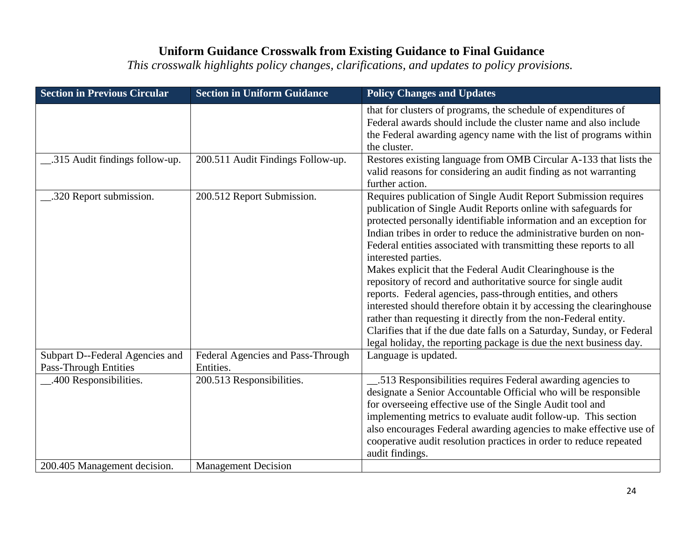| <b>Section in Previous Circular</b>                             | <b>Section in Uniform Guidance</b>             | <b>Policy Changes and Updates</b>                                                                                                                                                                                                                                                                                                                                                                                                                                                                                                                                                                                                                                                                                                                                                                                                                                     |
|-----------------------------------------------------------------|------------------------------------------------|-----------------------------------------------------------------------------------------------------------------------------------------------------------------------------------------------------------------------------------------------------------------------------------------------------------------------------------------------------------------------------------------------------------------------------------------------------------------------------------------------------------------------------------------------------------------------------------------------------------------------------------------------------------------------------------------------------------------------------------------------------------------------------------------------------------------------------------------------------------------------|
|                                                                 |                                                | that for clusters of programs, the schedule of expenditures of<br>Federal awards should include the cluster name and also include<br>the Federal awarding agency name with the list of programs within<br>the cluster.                                                                                                                                                                                                                                                                                                                                                                                                                                                                                                                                                                                                                                                |
| 315 Audit findings follow-up.                                   | 200.511 Audit Findings Follow-up.              | Restores existing language from OMB Circular A-133 that lists the<br>valid reasons for considering an audit finding as not warranting<br>further action.                                                                                                                                                                                                                                                                                                                                                                                                                                                                                                                                                                                                                                                                                                              |
| .320 Report submission.                                         | 200.512 Report Submission.                     | Requires publication of Single Audit Report Submission requires<br>publication of Single Audit Reports online with safeguards for<br>protected personally identifiable information and an exception for<br>Indian tribes in order to reduce the administrative burden on non-<br>Federal entities associated with transmitting these reports to all<br>interested parties.<br>Makes explicit that the Federal Audit Clearinghouse is the<br>repository of record and authoritative source for single audit<br>reports. Federal agencies, pass-through entities, and others<br>interested should therefore obtain it by accessing the clearinghouse<br>rather than requesting it directly from the non-Federal entity.<br>Clarifies that if the due date falls on a Saturday, Sunday, or Federal<br>legal holiday, the reporting package is due the next business day. |
| Subpart D--Federal Agencies and<br><b>Pass-Through Entities</b> | Federal Agencies and Pass-Through<br>Entities. | Language is updated.                                                                                                                                                                                                                                                                                                                                                                                                                                                                                                                                                                                                                                                                                                                                                                                                                                                  |
| .400 Responsibilities.                                          | 200.513 Responsibilities.                      | .513 Responsibilities requires Federal awarding agencies to<br>designate a Senior Accountable Official who will be responsible<br>for overseeing effective use of the Single Audit tool and<br>implementing metrics to evaluate audit follow-up. This section<br>also encourages Federal awarding agencies to make effective use of<br>cooperative audit resolution practices in order to reduce repeated<br>audit findings.                                                                                                                                                                                                                                                                                                                                                                                                                                          |
| 200.405 Management decision.                                    | <b>Management Decision</b>                     |                                                                                                                                                                                                                                                                                                                                                                                                                                                                                                                                                                                                                                                                                                                                                                                                                                                                       |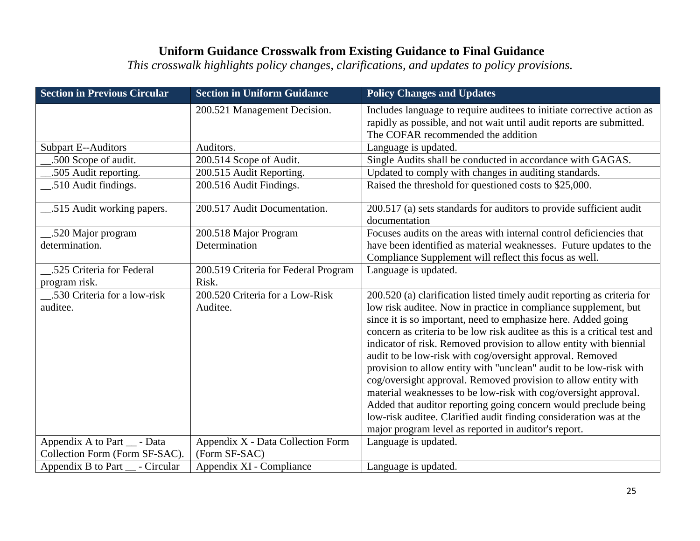| <b>Section in Previous Circular</b>                            | <b>Section in Uniform Guidance</b>                 | <b>Policy Changes and Updates</b>                                                                                                                                                    |
|----------------------------------------------------------------|----------------------------------------------------|--------------------------------------------------------------------------------------------------------------------------------------------------------------------------------------|
|                                                                | 200.521 Management Decision.                       | Includes language to require auditees to initiate corrective action as<br>rapidly as possible, and not wait until audit reports are submitted.<br>The COFAR recommended the addition |
| <b>Subpart E--Auditors</b>                                     | Auditors.                                          | Language is updated.                                                                                                                                                                 |
| .500 Scope of audit.                                           | 200.514 Scope of Audit.                            | Single Audits shall be conducted in accordance with GAGAS.                                                                                                                           |
| .505 Audit reporting.                                          | 200.515 Audit Reporting.                           | Updated to comply with changes in auditing standards.                                                                                                                                |
| .510 Audit findings.                                           | 200.516 Audit Findings.                            | Raised the threshold for questioned costs to \$25,000.                                                                                                                               |
| .515 Audit working papers.                                     | 200.517 Audit Documentation.                       | 200.517 (a) sets standards for auditors to provide sufficient audit<br>documentation                                                                                                 |
| .520 Major program                                             | 200.518 Major Program                              | Focuses audits on the areas with internal control deficiencies that                                                                                                                  |
| determination.                                                 | Determination                                      | have been identified as material weaknesses. Future updates to the                                                                                                                   |
|                                                                |                                                    | Compliance Supplement will reflect this focus as well.                                                                                                                               |
| .525 Criteria for Federal                                      | 200.519 Criteria for Federal Program               | Language is updated.                                                                                                                                                                 |
| program risk.                                                  | Risk.                                              |                                                                                                                                                                                      |
| .530 Criteria for a low-risk                                   | 200.520 Criteria for a Low-Risk                    | 200.520 (a) clarification listed timely audit reporting as criteria for                                                                                                              |
| auditee.                                                       | Auditee.                                           | low risk auditee. Now in practice in compliance supplement, but                                                                                                                      |
|                                                                |                                                    | since it is so important, need to emphasize here. Added going                                                                                                                        |
|                                                                |                                                    | concern as criteria to be low risk audited as this is a critical test and                                                                                                            |
|                                                                |                                                    | indicator of risk. Removed provision to allow entity with biennial                                                                                                                   |
|                                                                |                                                    | audit to be low-risk with cog/oversight approval. Removed                                                                                                                            |
|                                                                |                                                    | provision to allow entity with "unclean" audit to be low-risk with                                                                                                                   |
|                                                                |                                                    | cog/oversight approval. Removed provision to allow entity with                                                                                                                       |
|                                                                |                                                    | material weaknesses to be low-risk with cog/oversight approval.                                                                                                                      |
|                                                                |                                                    | Added that auditor reporting going concern would preclude being                                                                                                                      |
|                                                                |                                                    | low-risk auditee. Clarified audit finding consideration was at the                                                                                                                   |
|                                                                |                                                    | major program level as reported in auditor's report.                                                                                                                                 |
| Appendix A to Part __ - Data<br>Collection Form (Form SF-SAC). | Appendix X - Data Collection Form<br>(Form SF-SAC) | Language is updated.                                                                                                                                                                 |
|                                                                | Appendix XI - Compliance                           |                                                                                                                                                                                      |
| Appendix B to Part __ - Circular                               |                                                    | Language is updated.                                                                                                                                                                 |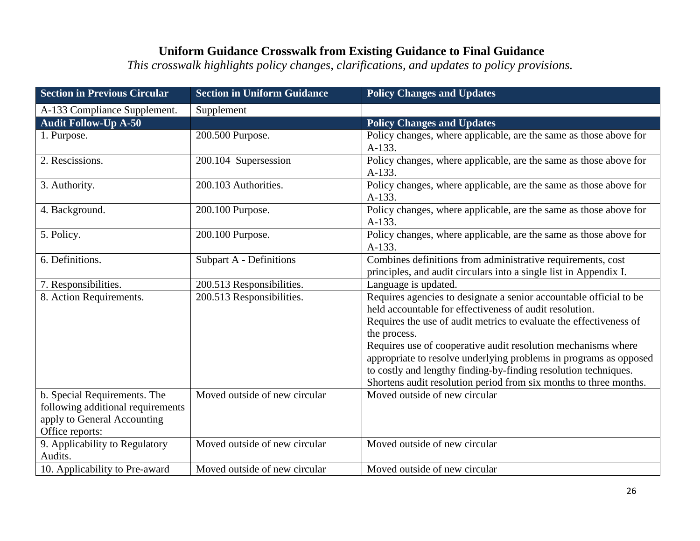| <b>Section in Previous Circular</b>                                                                                 | <b>Section in Uniform Guidance</b> | <b>Policy Changes and Updates</b>                                                                                                                                                                                                                                                                                                                                                                                                                                                                 |
|---------------------------------------------------------------------------------------------------------------------|------------------------------------|---------------------------------------------------------------------------------------------------------------------------------------------------------------------------------------------------------------------------------------------------------------------------------------------------------------------------------------------------------------------------------------------------------------------------------------------------------------------------------------------------|
| A-133 Compliance Supplement.                                                                                        | Supplement                         |                                                                                                                                                                                                                                                                                                                                                                                                                                                                                                   |
| <b>Audit Follow-Up A-50</b>                                                                                         |                                    | <b>Policy Changes and Updates</b>                                                                                                                                                                                                                                                                                                                                                                                                                                                                 |
| 1. Purpose.                                                                                                         | 200.500 Purpose.                   | Policy changes, where applicable, are the same as those above for<br>A-133.                                                                                                                                                                                                                                                                                                                                                                                                                       |
| 2. Rescissions.                                                                                                     | 200.104 Supersession               | Policy changes, where applicable, are the same as those above for<br>A-133.                                                                                                                                                                                                                                                                                                                                                                                                                       |
| 3. Authority.                                                                                                       | 200.103 Authorities.               | Policy changes, where applicable, are the same as those above for<br>$A-133.$                                                                                                                                                                                                                                                                                                                                                                                                                     |
| 4. Background.                                                                                                      | 200.100 Purpose.                   | Policy changes, where applicable, are the same as those above for<br>A-133.                                                                                                                                                                                                                                                                                                                                                                                                                       |
| 5. Policy.                                                                                                          | 200.100 Purpose.                   | Policy changes, where applicable, are the same as those above for<br>A-133.                                                                                                                                                                                                                                                                                                                                                                                                                       |
| 6. Definitions.                                                                                                     | Subpart A - Definitions            | Combines definitions from administrative requirements, cost<br>principles, and audit circulars into a single list in Appendix I.                                                                                                                                                                                                                                                                                                                                                                  |
| 7. Responsibilities.                                                                                                | 200.513 Responsibilities.          | Language is updated.                                                                                                                                                                                                                                                                                                                                                                                                                                                                              |
| 8. Action Requirements.                                                                                             | 200.513 Responsibilities.          | Requires agencies to designate a senior accountable official to be<br>held accountable for effectiveness of audit resolution.<br>Requires the use of audit metrics to evaluate the effectiveness of<br>the process.<br>Requires use of cooperative audit resolution mechanisms where<br>appropriate to resolve underlying problems in programs as opposed<br>to costly and lengthy finding-by-finding resolution techniques.<br>Shortens audit resolution period from six months to three months. |
| b. Special Requirements. The<br>following additional requirements<br>apply to General Accounting<br>Office reports: | Moved outside of new circular      | Moved outside of new circular                                                                                                                                                                                                                                                                                                                                                                                                                                                                     |
| 9. Applicability to Regulatory<br>Audits.                                                                           | Moved outside of new circular      | Moved outside of new circular                                                                                                                                                                                                                                                                                                                                                                                                                                                                     |
| 10. Applicability to Pre-award                                                                                      | Moved outside of new circular      | Moved outside of new circular                                                                                                                                                                                                                                                                                                                                                                                                                                                                     |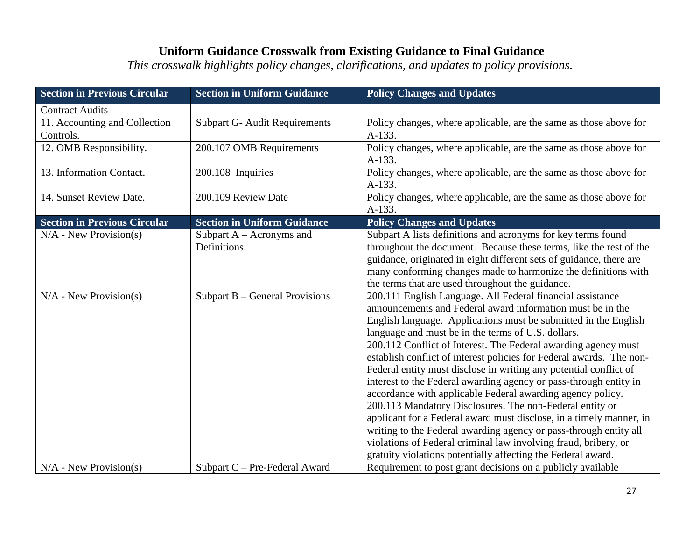| <b>Section in Previous Circular</b>        | <b>Section in Uniform Guidance</b>         | <b>Policy Changes and Updates</b>                                                                                                                                                                                                                                                                                                                                                                                                                                                                                                                                                                                                                                                                                                                                                                                                                                                                                                              |
|--------------------------------------------|--------------------------------------------|------------------------------------------------------------------------------------------------------------------------------------------------------------------------------------------------------------------------------------------------------------------------------------------------------------------------------------------------------------------------------------------------------------------------------------------------------------------------------------------------------------------------------------------------------------------------------------------------------------------------------------------------------------------------------------------------------------------------------------------------------------------------------------------------------------------------------------------------------------------------------------------------------------------------------------------------|
| <b>Contract Audits</b>                     |                                            |                                                                                                                                                                                                                                                                                                                                                                                                                                                                                                                                                                                                                                                                                                                                                                                                                                                                                                                                                |
| 11. Accounting and Collection<br>Controls. | <b>Subpart G- Audit Requirements</b>       | Policy changes, where applicable, are the same as those above for<br>A-133.                                                                                                                                                                                                                                                                                                                                                                                                                                                                                                                                                                                                                                                                                                                                                                                                                                                                    |
| 12. OMB Responsibility.                    | 200.107 OMB Requirements                   | Policy changes, where applicable, are the same as those above for<br>A-133.                                                                                                                                                                                                                                                                                                                                                                                                                                                                                                                                                                                                                                                                                                                                                                                                                                                                    |
| 13. Information Contact.                   | 200.108 Inquiries                          | Policy changes, where applicable, are the same as those above for<br>A-133.                                                                                                                                                                                                                                                                                                                                                                                                                                                                                                                                                                                                                                                                                                                                                                                                                                                                    |
| 14. Sunset Review Date.                    | 200.109 Review Date                        | Policy changes, where applicable, are the same as those above for<br>A-133.                                                                                                                                                                                                                                                                                                                                                                                                                                                                                                                                                                                                                                                                                                                                                                                                                                                                    |
| <b>Section in Previous Circular</b>        | <b>Section in Uniform Guidance</b>         | <b>Policy Changes and Updates</b>                                                                                                                                                                                                                                                                                                                                                                                                                                                                                                                                                                                                                                                                                                                                                                                                                                                                                                              |
| $N/A$ - New Provision(s)                   | Subpart $A - A$ cronyms and<br>Definitions | Subpart A lists definitions and acronyms for key terms found<br>throughout the document. Because these terms, like the rest of the<br>guidance, originated in eight different sets of guidance, there are<br>many conforming changes made to harmonize the definitions with<br>the terms that are used throughout the guidance.                                                                                                                                                                                                                                                                                                                                                                                                                                                                                                                                                                                                                |
| $N/A$ - New Provision(s)                   | Subpart B – General Provisions             | 200.111 English Language. All Federal financial assistance<br>announcements and Federal award information must be in the<br>English language. Applications must be submitted in the English<br>language and must be in the terms of U.S. dollars.<br>200.112 Conflict of Interest. The Federal awarding agency must<br>establish conflict of interest policies for Federal awards. The non-<br>Federal entity must disclose in writing any potential conflict of<br>interest to the Federal awarding agency or pass-through entity in<br>accordance with applicable Federal awarding agency policy.<br>200.113 Mandatory Disclosures. The non-Federal entity or<br>applicant for a Federal award must disclose, in a timely manner, in<br>writing to the Federal awarding agency or pass-through entity all<br>violations of Federal criminal law involving fraud, bribery, or<br>gratuity violations potentially affecting the Federal award. |
| $N/A$ - New Provision(s)                   | Subpart C - Pre-Federal Award              | Requirement to post grant decisions on a publicly available                                                                                                                                                                                                                                                                                                                                                                                                                                                                                                                                                                                                                                                                                                                                                                                                                                                                                    |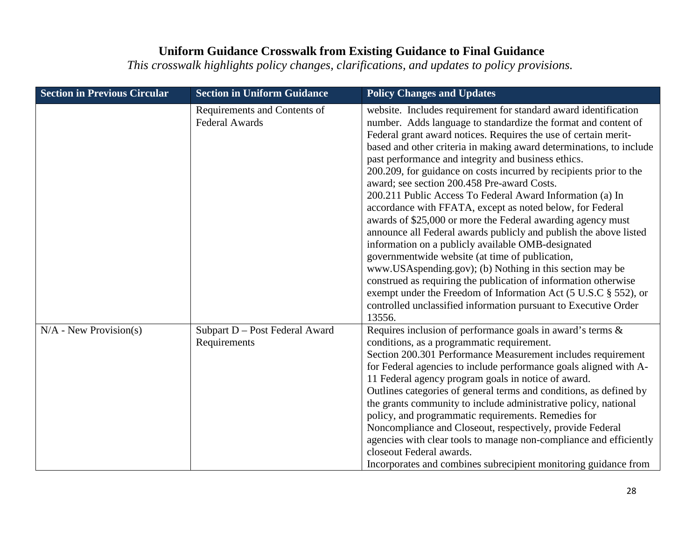| <b>Section in Previous Circular</b> | <b>Section in Uniform Guidance</b>                    | <b>Policy Changes and Updates</b>                                                                                                                                                                                                                                                                                                                                                                                                                                                                                                                                                                                                                                                                                                                                                                                                                                                                                                                                                                                                                                                                             |
|-------------------------------------|-------------------------------------------------------|---------------------------------------------------------------------------------------------------------------------------------------------------------------------------------------------------------------------------------------------------------------------------------------------------------------------------------------------------------------------------------------------------------------------------------------------------------------------------------------------------------------------------------------------------------------------------------------------------------------------------------------------------------------------------------------------------------------------------------------------------------------------------------------------------------------------------------------------------------------------------------------------------------------------------------------------------------------------------------------------------------------------------------------------------------------------------------------------------------------|
|                                     | Requirements and Contents of<br><b>Federal Awards</b> | website. Includes requirement for standard award identification<br>number. Adds language to standardize the format and content of<br>Federal grant award notices. Requires the use of certain merit-<br>based and other criteria in making award determinations, to include<br>past performance and integrity and business ethics.<br>200.209, for guidance on costs incurred by recipients prior to the<br>award; see section 200.458 Pre-award Costs.<br>200.211 Public Access To Federal Award Information (a) In<br>accordance with FFATA, except as noted below, for Federal<br>awards of \$25,000 or more the Federal awarding agency must<br>announce all Federal awards publicly and publish the above listed<br>information on a publicly available OMB-designated<br>governmentwide website (at time of publication,<br>www.USAspending.gov); (b) Nothing in this section may be<br>construed as requiring the publication of information otherwise<br>exempt under the Freedom of Information Act (5 U.S.C § 552), or<br>controlled unclassified information pursuant to Executive Order<br>13556. |
| $N/A$ - New Provision(s)            | Subpart D - Post Federal Award<br>Requirements        | Requires inclusion of performance goals in award's terms &<br>conditions, as a programmatic requirement.<br>Section 200.301 Performance Measurement includes requirement<br>for Federal agencies to include performance goals aligned with A-<br>11 Federal agency program goals in notice of award.<br>Outlines categories of general terms and conditions, as defined by<br>the grants community to include administrative policy, national<br>policy, and programmatic requirements. Remedies for<br>Noncompliance and Closeout, respectively, provide Federal<br>agencies with clear tools to manage non-compliance and efficiently<br>closeout Federal awards.<br>Incorporates and combines subrecipient monitoring guidance from                                                                                                                                                                                                                                                                                                                                                                        |